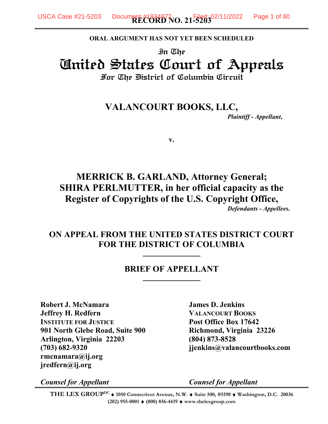**ORAL ARGUMENT HAS NOT YET BEEN SCHEDULED**

In The United States Court of Appeals For The District of Columbia Circuit

> **VALANCOURT BOOKS, LLC,** *Plaintiff - Appellant***,**

> > **v.**

## **MERRICK B. GARLAND, Attorney General; SHIRA PERLMUTTER, in her official capacity as the Register of Copyrights of the U.S. Copyright Office,** *Defendants - Appellees***.**

## **ON APPEAL FROM THE UNITED STATES DISTRICT COURT FOR THE DISTRICT OF COLUMBIA**

### **BRIEF OF APPELLANT**

**Robert J. McNamara James D. Jenkins Jeffrey H. Redfern VALANCOURT BOOKS INSTITUTE FOR JUSTICE Post Office Box 17642 901 North Glebe Road, Suite 900 Richmond, Virginia 23226 Arlington, Virginia 22203 (804) 873-8528 (703) 682-9320 jjenkins@valancourtbooks.com rmcnamara@ij.org jredfern@ij.org**

*Counsel for Appellant Counsel for Appellant*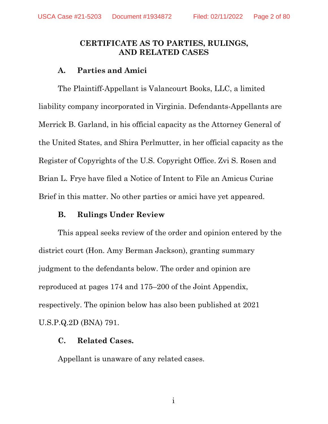## **CERTIFICATE AS TO PARTIES, RULINGS, AND RELATED CASES**

### **A. Parties and Amici**

The Plaintiff-Appellant is Valancourt Books, LLC, a limited liability company incorporated in Virginia. Defendants-Appellants are Merrick B. Garland, in his official capacity as the Attorney General of the United States, and Shira Perlmutter, in her official capacity as the Register of Copyrights of the U.S. Copyright Office. Zvi S. Rosen and Brian L. Frye have filed a Notice of Intent to File an Amicus Curiae Brief in this matter. No other parties or amici have yet appeared.

## **B. Rulings Under Review**

This appeal seeks review of the order and opinion entered by the district court (Hon. Amy Berman Jackson), granting summary judgment to the defendants below. The order and opinion are reproduced at pages 174 and 175–200 of the Joint Appendix, respectively. The opinion below has also been published at 2021 U.S.P.Q.2D (BNA) 791.

## **C. Related Cases.**

Appellant is unaware of any related cases.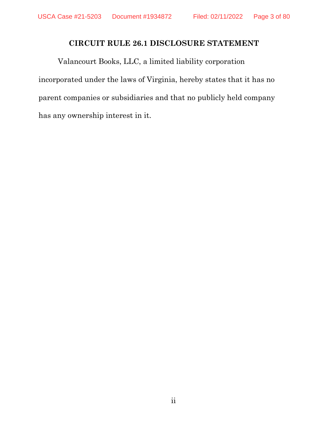## **CIRCUIT RULE 26.1 DISCLOSURE STATEMENT**

Valancourt Books, LLC, a limited liability corporation incorporated under the laws of Virginia, hereby states that it has no parent companies or subsidiaries and that no publicly held company has any ownership interest in it.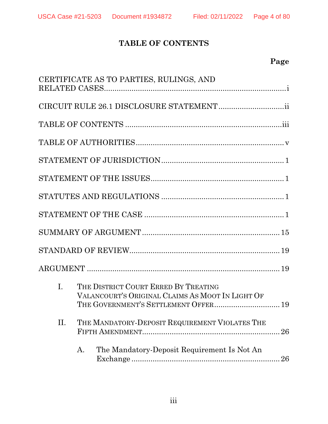# **TABLE OF CONTENTS**

# **Page**

|                | CERTIFICATE AS TO PARTIES, RULINGS, AND                                                                                          |  |  |  |  |  |
|----------------|----------------------------------------------------------------------------------------------------------------------------------|--|--|--|--|--|
|                |                                                                                                                                  |  |  |  |  |  |
|                |                                                                                                                                  |  |  |  |  |  |
|                |                                                                                                                                  |  |  |  |  |  |
|                |                                                                                                                                  |  |  |  |  |  |
|                |                                                                                                                                  |  |  |  |  |  |
|                |                                                                                                                                  |  |  |  |  |  |
|                |                                                                                                                                  |  |  |  |  |  |
|                |                                                                                                                                  |  |  |  |  |  |
|                |                                                                                                                                  |  |  |  |  |  |
|                |                                                                                                                                  |  |  |  |  |  |
| $\mathbf{I}$ . | THE DISTRICT COURT ERRED BY TREATING<br>VALANCOURT'S ORIGINAL CLAIMS AS MOOT IN LIGHT OF<br>THE GOVERNMENT'S SETTLEMENT OFFER 19 |  |  |  |  |  |
| Π.             | THE MANDATORY-DEPOSIT REQUIREMENT VIOLATES THE<br>26                                                                             |  |  |  |  |  |
|                | The Mandatory-Deposit Requirement Is Not An<br>A.<br>26                                                                          |  |  |  |  |  |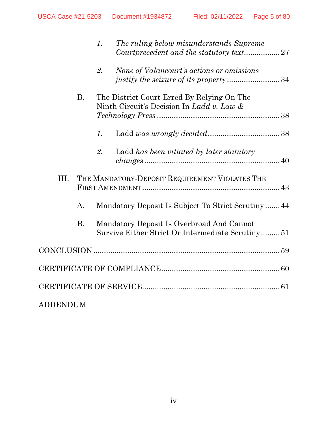|                 |           | 1. | The ruling below misunderstands Supreme                                                       |  |
|-----------------|-----------|----|-----------------------------------------------------------------------------------------------|--|
|                 |           | 2. | None of Valancourt's actions or omissions<br>justify the seizure of its property34            |  |
|                 | <b>B.</b> |    | The District Court Erred By Relying On The<br>Ninth Circuit's Decision In Ladd v. Law &       |  |
|                 |           | 1. |                                                                                               |  |
|                 |           | 2. | Ladd has been vitiated by later statutory<br>$changes \dots 40$                               |  |
| III.            |           |    | THE MANDATORY-DEPOSIT REQUIREMENT VIOLATES THE                                                |  |
|                 | A.        |    | Mandatory Deposit Is Subject To Strict Scrutiny44                                             |  |
|                 | <b>B.</b> |    | Mandatory Deposit Is Overbroad And Cannot<br>Survive Either Strict Or Intermediate Scrutiny51 |  |
|                 |           |    |                                                                                               |  |
|                 |           |    |                                                                                               |  |
|                 |           |    |                                                                                               |  |
| <b>ADDENDUM</b> |           |    |                                                                                               |  |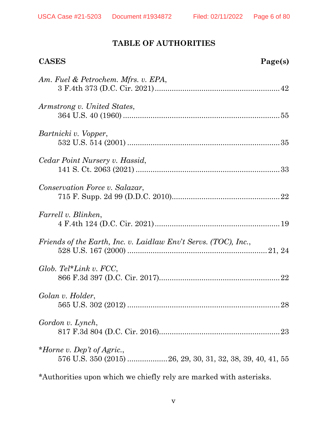# **TABLE OF AUTHORITIES**

| <b>CASES</b>                                                    | Page(s) |
|-----------------------------------------------------------------|---------|
| Am. Fuel & Petrochem. Mfrs. v. EPA,                             |         |
| Armstrong v. United States,                                     |         |
| Bartnicki v. Vopper,                                            |         |
| Cedar Point Nursery v. Hassid,                                  |         |
| Conservation Force v. Salazar,                                  |         |
| Farrell v. Blinken,                                             |         |
| Friends of the Earth, Inc. v. Laidlaw Env't Servs. (TOC), Inc., |         |
| Glob. Tel*Link v. $FCC$ ,                                       |         |
| Golan v. Holder,                                                |         |
| Gordon v. Lynch,                                                |         |
| *Horne v. Dep't of Agric.,                                      |         |
|                                                                 |         |

*\**Authorities upon which we chiefly rely are marked with asterisks.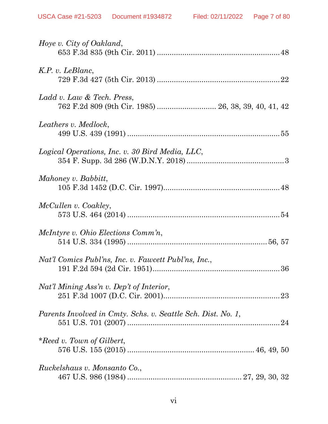| Hoye v. City of Oakland,                                                           |
|------------------------------------------------------------------------------------|
| K.P. v. LeBlanc,                                                                   |
| Ladd v. Law & Tech. Press,<br>762 F.2d 809 (9th Cir. 1985)  26, 38, 39, 40, 41, 42 |
| Leathers v. Medlock,                                                               |
| Logical Operations, Inc. v. 30 Bird Media, LLC,                                    |
| Mahoney v. Babbitt,                                                                |
| McCullen v. Coakley,                                                               |
| <i>McIntyre v. Ohio Elections Comm'n,</i>                                          |
| Nat'l Comics Publ'ns, Inc. v. Fawcett Publ'ns, Inc.,                               |
| Nat'l Mining Ass'n v. Dep't of Interior,                                           |
| Parents Involved in Cmty. Schs. v. Seattle Sch. Dist. No. 1,                       |
| *Reed v. Town of Gilbert,                                                          |
| Ruckelshaus v. Monsanto Co.,                                                       |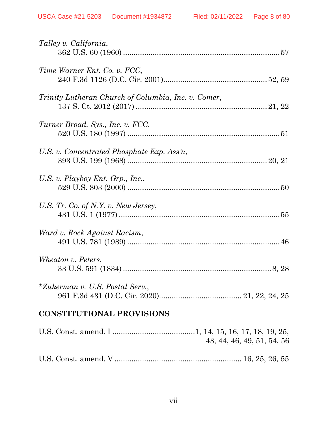| Talley v. California,                               |
|-----------------------------------------------------|
| Time Warner Ent. Co. v. FCC,                        |
| Trinity Lutheran Church of Columbia, Inc. v. Comer, |
| Turner Broad. Sys., Inc. v. FCC,                    |
| U.S. v. Concentrated Phosphate Exp. Ass'n,          |
| U.S. v. Playboy Ent. Grp., Inc.,                    |
| U.S. Tr. Co. of N.Y. v. New Jersey,                 |
| Ward v. Rock Against Racism,                        |
| Wheaton v. Peters,                                  |
| *Zukerman v. U.S. Postal Serv.,                     |
| <b>CONSTITUTIONAL PROVISIONS</b>                    |
| 43, 44, 46, 49, 51, 54, 56                          |
|                                                     |

|--|--|--|--|--|--|--|--|--|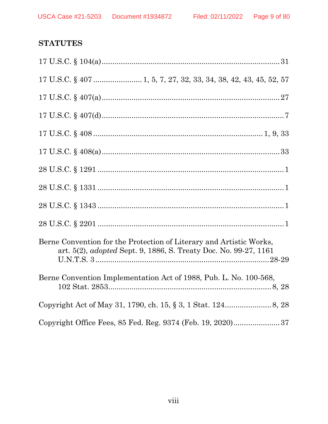# **STATUTES**

| Berne Convention for the Protection of Literary and Artistic Works,<br>art. 5(2), <i>adopted</i> Sept. 9, 1886, S. Treaty Doc. No. 99-27, 1161 |
|------------------------------------------------------------------------------------------------------------------------------------------------|
| Berne Convention Implementation Act of 1988, Pub. L. No. 100-568,                                                                              |
|                                                                                                                                                |
| Copyright Office Fees, 85 Fed. Reg. 9374 (Feb. 19, 2020)37                                                                                     |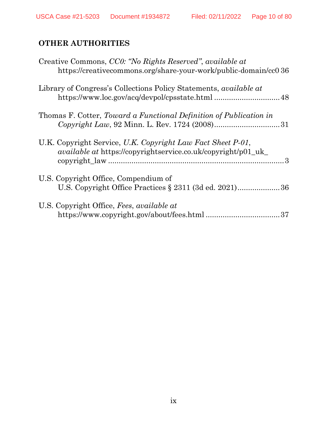# **OTHER AUTHORITIES**

| Creative Commons, CC0: "No Rights Reserved", available at<br>https://creativecommons.org/share-your-work/public-domain/cc0 36       |
|-------------------------------------------------------------------------------------------------------------------------------------|
| Library of Congress's Collections Policy Statements, <i>available at</i>                                                            |
| Thomas F. Cotter, Toward a Functional Definition of Publication in                                                                  |
| U.K. Copyright Service, U.K. Copyright Law Fact Sheet P-01,<br><i>available at https://copyrightservice.co.uk/copyright/p01_uk_</i> |
| U.S. Copyright Office, Compendium of<br>U.S. Copyright Office Practices § 2311 (3d ed. 2021)36                                      |
| U.S. Copyright Office, Fees, available at<br>37                                                                                     |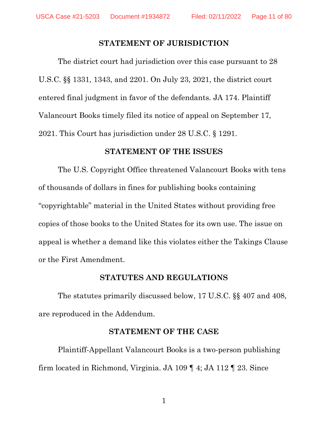#### **STATEMENT OF JURISDICTION**

The district court had jurisdiction over this case pursuant to 28 U.S.C. §§ 1331, 1343, and 2201. On July 23, 2021, the district court entered final judgment in favor of the defendants. JA 174. Plaintiff Valancourt Books timely filed its notice of appeal on September 17, 2021. This Court has jurisdiction under 28 U.S.C. § 1291.

### **STATEMENT OF THE ISSUES**

The U.S. Copyright Office threatened Valancourt Books with tens of thousands of dollars in fines for publishing books containing "copyrightable" material in the United States without providing free copies of those books to the United States for its own use. The issue on appeal is whether a demand like this violates either the Takings Clause or the First Amendment.

#### **STATUTES AND REGULATIONS**

The statutes primarily discussed below, 17 U.S.C. §§ 407 and 408, are reproduced in the Addendum.

#### **STATEMENT OF THE CASE**

Plaintiff-Appellant Valancourt Books is a two-person publishing firm located in Richmond, Virginia. JA 109 ¶ 4; JA 112 ¶ 23. Since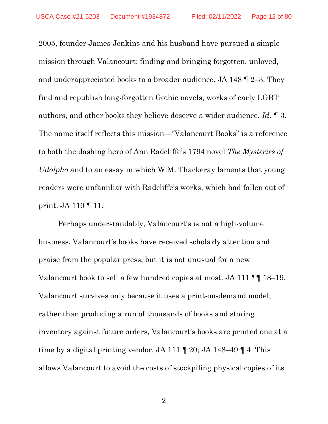2005, founder James Jenkins and his husband have pursued a simple mission through Valancourt: finding and bringing forgotten, unloved, and underappreciated books to a broader audience. JA 148 ¶ 2–3. They find and republish long-forgotten Gothic novels, works of early LGBT authors, and other books they believe deserve a wider audience. *Id.* ¶ 3. The name itself reflects this mission—"Valancourt Books" is a reference to both the dashing hero of Ann Radcliffe's 1794 novel *The Mysteries of Udolpho* and to an essay in which W.M. Thackeray laments that young readers were unfamiliar with Radcliffe's works, which had fallen out of print. JA 110 ¶ 11.

Perhaps understandably, Valancourt's is not a high-volume business. Valancourt's books have received scholarly attention and praise from the popular press, but it is not unusual for a new Valancourt book to sell a few hundred copies at most. JA 111 ¶¶ 18–19. Valancourt survives only because it uses a print-on-demand model; rather than producing a run of thousands of books and storing inventory against future orders, Valancourt's books are printed one at a time by a digital printing vendor. JA 111 ¶ 20; JA 148–49 ¶ 4. This allows Valancourt to avoid the costs of stockpiling physical copies of its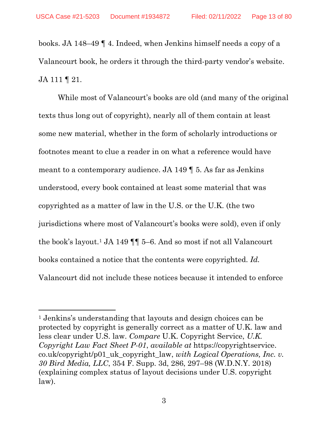books. JA 148–49 ¶ 4. Indeed, when Jenkins himself needs a copy of a Valancourt book, he orders it through the third-party vendor's website. JA 111 ¶ 21.

While most of Valancourt's books are old (and many of the original texts thus long out of copyright), nearly all of them contain at least some new material, whether in the form of scholarly introductions or footnotes meant to clue a reader in on what a reference would have meant to a contemporary audience. JA 149 ¶ 5. As far as Jenkins understood, every book contained at least some material that was copyrighted as a matter of law in the U.S. or the U.K. (the two jurisdictions where most of Valancourt's books were sold), even if only the book's layout.[1](#page-12-0) JA 149 ¶¶ 5–6. And so most if not all Valancourt books contained a notice that the contents were copyrighted. *Id.*  Valancourt did not include these notices because it intended to enforce

<span id="page-12-0"></span><sup>1</sup> Jenkins's understanding that layouts and design choices can be protected by copyright is generally correct as a matter of U.K. law and less clear under U.S. law. *Compare* U.K. Copyright Service, *U.K. Copyright Law Fact Sheet P-01*, *available at* https://copyrightservice. co.uk/copyright/p01\_uk\_copyright\_law, *with Logical Operations, Inc. v. 30 Bird Media, LLC*, 354 F. Supp. 3d, 286, 297–98 (W.D.N.Y. 2018) (explaining complex status of layout decisions under U.S. copyright law).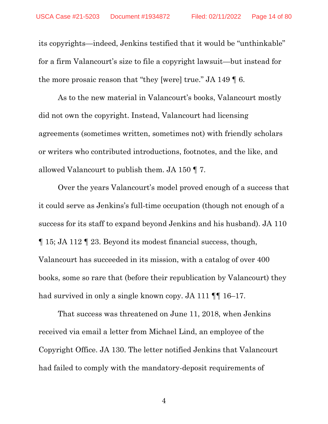its copyrights—indeed, Jenkins testified that it would be "unthinkable" for a firm Valancourt's size to file a copyright lawsuit—but instead for the more prosaic reason that "they [were] true." JA 149 ¶ 6.

As to the new material in Valancourt's books, Valancourt mostly did not own the copyright. Instead, Valancourt had licensing agreements (sometimes written, sometimes not) with friendly scholars or writers who contributed introductions, footnotes, and the like, and allowed Valancourt to publish them. JA 150 ¶ 7.

Over the years Valancourt's model proved enough of a success that it could serve as Jenkins's full-time occupation (though not enough of a success for its staff to expand beyond Jenkins and his husband). JA 110 ¶ 15; JA 112 ¶ 23. Beyond its modest financial success, though, Valancourt has succeeded in its mission, with a catalog of over 400 books, some so rare that (before their republication by Valancourt) they had survived in only a single known copy. JA 111  $\P$  16–17.

That success was threatened on June 11, 2018, when Jenkins received via email a letter from Michael Lind, an employee of the Copyright Office. JA 130. The letter notified Jenkins that Valancourt had failed to comply with the mandatory-deposit requirements of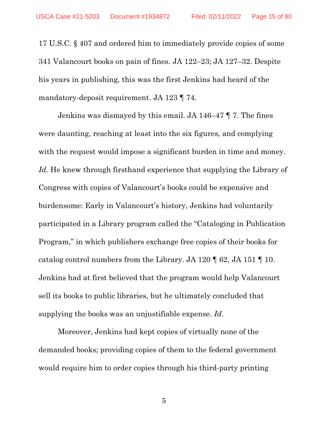17 U.S.C. § 407 and ordered him to immediately provide copies of some 341 Valancourt books on pain of fines. JA 122–23; JA 127–32. Despite his years in publishing, this was the first Jenkins had heard of the mandatory-deposit requirement. JA 123 ¶ 74.

Jenkins was dismayed by this email. JA 146–47 ¶ 7. The fines were daunting, reaching at least into the six figures, and complying with the request would impose a significant burden in time and money. *Id.* He knew through firsthand experience that supplying the Library of Congress with copies of Valancourt's books could be expensive and burdensome: Early in Valancourt's history, Jenkins had voluntarily participated in a Library program called the "Cataloging in Publication Program," in which publishers exchange free copies of their books for catalog control numbers from the Library. JA 120 ¶ 62, JA 151 ¶ 10. Jenkins had at first believed that the program would help Valancourt sell its books to public libraries, but he ultimately concluded that supplying the books was an unjustifiable expense. *Id*.

Moreover, Jenkins had kept copies of virtually none of the demanded books; providing copies of them to the federal government would require him to order copies through his third-party printing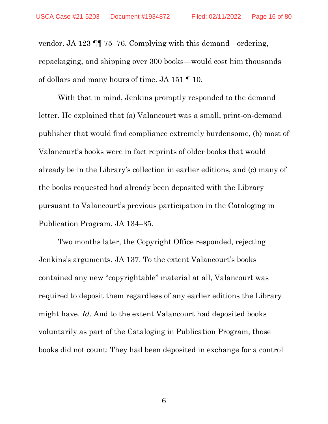vendor. JA 123 ¶¶ 75–76. Complying with this demand—ordering, repackaging, and shipping over 300 books—would cost him thousands of dollars and many hours of time. JA 151 ¶ 10.

With that in mind, Jenkins promptly responded to the demand letter. He explained that (a) Valancourt was a small, print-on-demand publisher that would find compliance extremely burdensome, (b) most of Valancourt's books were in fact reprints of older books that would already be in the Library's collection in earlier editions, and (c) many of the books requested had already been deposited with the Library pursuant to Valancourt's previous participation in the Cataloging in Publication Program. JA 134–35.

Two months later, the Copyright Office responded, rejecting Jenkins's arguments. JA 137. To the extent Valancourt's books contained any new "copyrightable" material at all, Valancourt was required to deposit them regardless of any earlier editions the Library might have. *Id.* And to the extent Valancourt had deposited books voluntarily as part of the Cataloging in Publication Program, those books did not count: They had been deposited in exchange for a control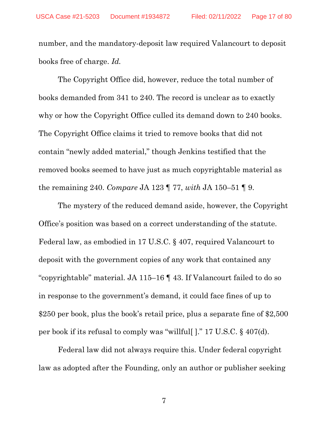number, and the mandatory-deposit law required Valancourt to deposit books free of charge. *Id.*

The Copyright Office did, however, reduce the total number of books demanded from 341 to 240. The record is unclear as to exactly why or how the Copyright Office culled its demand down to 240 books. The Copyright Office claims it tried to remove books that did not contain "newly added material," though Jenkins testified that the removed books seemed to have just as much copyrightable material as the remaining 240. *Compare* JA 123 ¶ 77, *with* JA 150–51 ¶ 9.

The mystery of the reduced demand aside, however, the Copyright Office's position was based on a correct understanding of the statute. Federal law, as embodied in 17 U.S.C. § 407, required Valancourt to deposit with the government copies of any work that contained any "copyrightable" material. JA 115–16 ¶ 43. If Valancourt failed to do so in response to the government's demand, it could face fines of up to \$250 per book, plus the book's retail price, plus a separate fine of \$2,500 per book if its refusal to comply was "willful[ ]." 17 U.S.C. § 407(d).

Federal law did not always require this. Under federal copyright law as adopted after the Founding, only an author or publisher seeking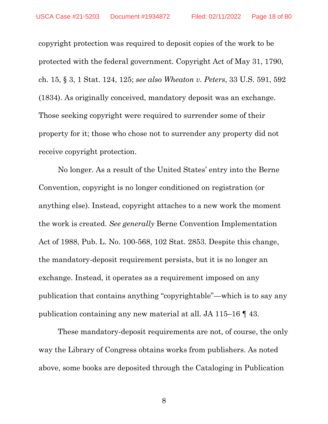copyright protection was required to deposit copies of the work to be protected with the federal government. Copyright Act of May 31, 1790, ch. 15, § 3, 1 Stat. 124, 125; *see also Wheaton v. Peters*, 33 U.S. 591, 592 (1834). As originally conceived, mandatory deposit was an exchange. Those seeking copyright were required to surrender some of their property for it; those who chose not to surrender any property did not receive copyright protection.

No longer. As a result of the United States' entry into the Berne Convention, copyright is no longer conditioned on registration (or anything else). Instead, copyright attaches to a new work the moment the work is created. *See generally* Berne Convention Implementation Act of 1988, Pub. L. No. 100-568, 102 Stat. 2853. Despite this change, the mandatory-deposit requirement persists, but it is no longer an exchange. Instead, it operates as a requirement imposed on any publication that contains anything "copyrightable"—which is to say any publication containing any new material at all. JA 115–16 ¶ 43.

These mandatory-deposit requirements are not, of course, the only way the Library of Congress obtains works from publishers. As noted above, some books are deposited through the Cataloging in Publication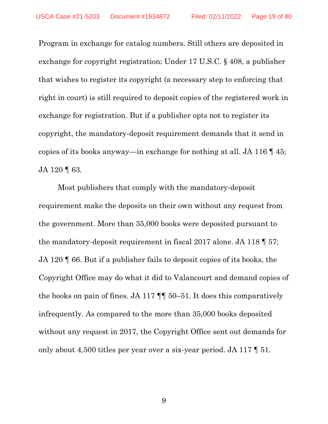Program in exchange for catalog numbers. Still others are deposited in exchange for copyright registration: Under 17 U.S.C. § 408, a publisher that wishes to register its copyright (a necessary step to enforcing that right in court) is still required to deposit copies of the registered work in exchange for registration. But if a publisher opts not to register its copyright, the mandatory-deposit requirement demands that it send in copies of its books anyway—in exchange for nothing at all. JA 116 ¶ 45; JA 120 | 63.

Most publishers that comply with the mandatory-deposit requirement make the deposits on their own without any request from the government. More than 35,000 books were deposited pursuant to the mandatory-deposit requirement in fiscal 2017 alone. JA 118 ¶ 57; JA 120 ¶ 66. But if a publisher fails to deposit copies of its books, the Copyright Office may do what it did to Valancourt and demand copies of the books on pain of fines. JA 117 ¶¶ 50–51. It does this comparatively infrequently. As compared to the more than 35,000 books deposited without any request in 2017, the Copyright Office sent out demands for only about 4,500 titles per year over a six-year period. JA 117 ¶ 51.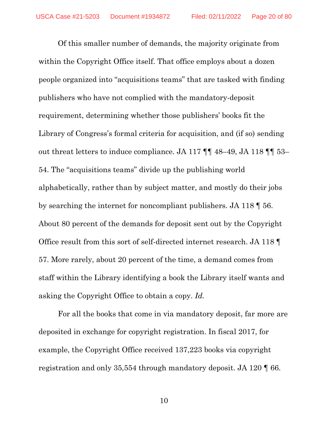Of this smaller number of demands, the majority originate from within the Copyright Office itself. That office employs about a dozen people organized into "acquisitions teams" that are tasked with finding publishers who have not complied with the mandatory-deposit requirement, determining whether those publishers' books fit the Library of Congress's formal criteria for acquisition, and (if so) sending out threat letters to induce compliance. JA 117 ¶¶ 48–49, JA 118 ¶¶ 53– 54. The "acquisitions teams" divide up the publishing world alphabetically, rather than by subject matter, and mostly do their jobs by searching the internet for noncompliant publishers. JA 118 ¶ 56. About 80 percent of the demands for deposit sent out by the Copyright Office result from this sort of self-directed internet research. JA 118 ¶ 57. More rarely, about 20 percent of the time, a demand comes from staff within the Library identifying a book the Library itself wants and asking the Copyright Office to obtain a copy. *Id.*

For all the books that come in via mandatory deposit, far more are deposited in exchange for copyright registration. In fiscal 2017, for example, the Copyright Office received 137,223 books via copyright registration and only 35,554 through mandatory deposit. JA 120 ¶ 66.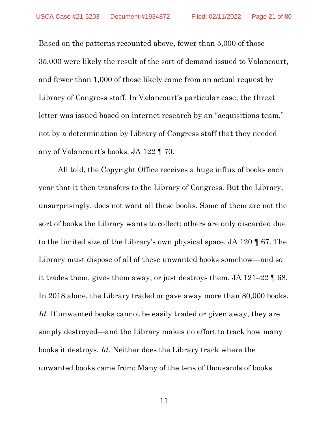Based on the patterns recounted above, fewer than 5,000 of those 35,000 were likely the result of the sort of demand issued to Valancourt, and fewer than 1,000 of those likely came from an actual request by Library of Congress staff. In Valancourt's particular case, the threat letter was issued based on internet research by an "acquisitions team," not by a determination by Library of Congress staff that they needed any of Valancourt's books. JA 122 ¶ 70.

All told, the Copyright Office receives a huge influx of books each year that it then transfers to the Library of Congress. But the Library, unsurprisingly, does not want all these books. Some of them are not the sort of books the Library wants to collect; others are only discarded due to the limited size of the Library's own physical space. JA 120 ¶ 67. The Library must dispose of all of these unwanted books somehow—and so it trades them, gives them away, or just destroys them. JA 121–22 ¶ 68. In 2018 alone, the Library traded or gave away more than 80,000 books. Id. If unwanted books cannot be easily traded or given away, they are simply destroyed—and the Library makes no effort to track how many books it destroys. *Id.* Neither does the Library track where the unwanted books came from: Many of the tens of thousands of books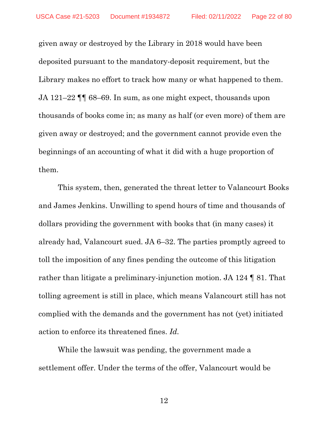given away or destroyed by the Library in 2018 would have been deposited pursuant to the mandatory-deposit requirement, but the Library makes no effort to track how many or what happened to them. JA 121–22 ¶¶ 68–69. In sum, as one might expect, thousands upon thousands of books come in; as many as half (or even more) of them are given away or destroyed; and the government cannot provide even the beginnings of an accounting of what it did with a huge proportion of them.

This system, then, generated the threat letter to Valancourt Books and James Jenkins. Unwilling to spend hours of time and thousands of dollars providing the government with books that (in many cases) it already had, Valancourt sued. JA 6–32. The parties promptly agreed to toll the imposition of any fines pending the outcome of this litigation rather than litigate a preliminary-injunction motion. JA 124 ¶ 81. That tolling agreement is still in place, which means Valancourt still has not complied with the demands and the government has not (yet) initiated action to enforce its threatened fines. *Id.*

While the lawsuit was pending, the government made a settlement offer. Under the terms of the offer, Valancourt would be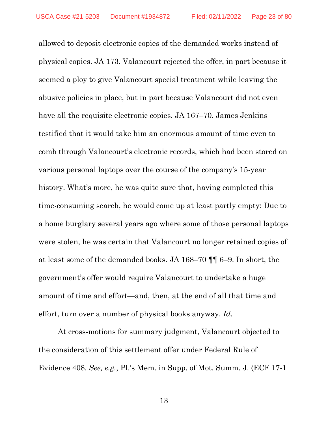allowed to deposit electronic copies of the demanded works instead of physical copies. JA 173. Valancourt rejected the offer, in part because it seemed a ploy to give Valancourt special treatment while leaving the abusive policies in place, but in part because Valancourt did not even have all the requisite electronic copies. JA 167–70. James Jenkins testified that it would take him an enormous amount of time even to comb through Valancourt's electronic records, which had been stored on various personal laptops over the course of the company's 15-year history. What's more, he was quite sure that, having completed this time-consuming search, he would come up at least partly empty: Due to a home burglary several years ago where some of those personal laptops were stolen, he was certain that Valancourt no longer retained copies of at least some of the demanded books. JA 168–70 ¶¶ 6–9. In short, the government's offer would require Valancourt to undertake a huge amount of time and effort—and, then, at the end of all that time and effort, turn over a number of physical books anyway. *Id.*

At cross-motions for summary judgment, Valancourt objected to the consideration of this settlement offer under Federal Rule of Evidence 408. *See, e.g.*, Pl.'s Mem. in Supp. of Mot. Summ. J. (ECF 17-1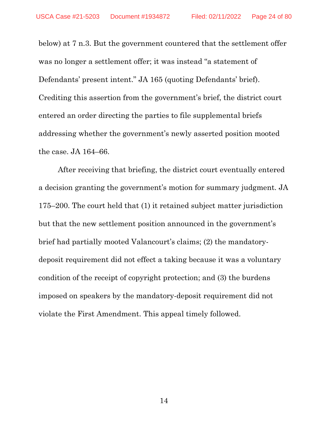below) at 7 n.3. But the government countered that the settlement offer was no longer a settlement offer; it was instead "a statement of Defendants' present intent." JA 165 (quoting Defendants' brief). Crediting this assertion from the government's brief, the district court entered an order directing the parties to file supplemental briefs addressing whether the government's newly asserted position mooted the case. JA 164–66.

After receiving that briefing, the district court eventually entered a decision granting the government's motion for summary judgment. JA 175–200. The court held that (1) it retained subject matter jurisdiction but that the new settlement position announced in the government's brief had partially mooted Valancourt's claims; (2) the mandatorydeposit requirement did not effect a taking because it was a voluntary condition of the receipt of copyright protection; and (3) the burdens imposed on speakers by the mandatory-deposit requirement did not violate the First Amendment. This appeal timely followed.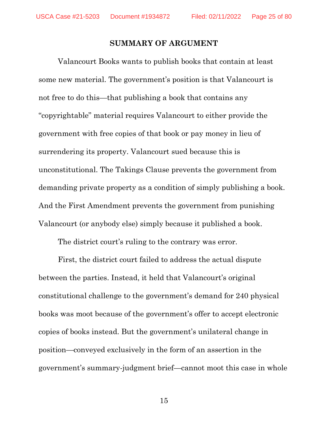#### **SUMMARY OF ARGUMENT**

Valancourt Books wants to publish books that contain at least some new material. The government's position is that Valancourt is not free to do this—that publishing a book that contains any "copyrightable" material requires Valancourt to either provide the government with free copies of that book or pay money in lieu of surrendering its property. Valancourt sued because this is unconstitutional. The Takings Clause prevents the government from demanding private property as a condition of simply publishing a book. And the First Amendment prevents the government from punishing Valancourt (or anybody else) simply because it published a book.

The district court's ruling to the contrary was error.

First, the district court failed to address the actual dispute between the parties. Instead, it held that Valancourt's original constitutional challenge to the government's demand for 240 physical books was moot because of the government's offer to accept electronic copies of books instead. But the government's unilateral change in position—conveyed exclusively in the form of an assertion in the government's summary-judgment brief—cannot moot this case in whole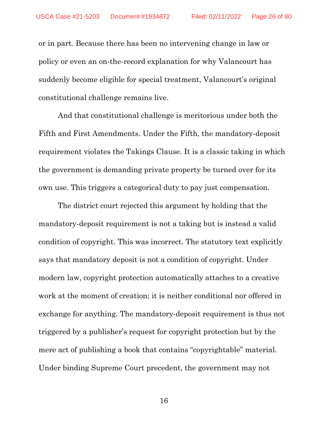or in part. Because there has been no intervening change in law or policy or even an on-the-record explanation for why Valancourt has suddenly become eligible for special treatment, Valancourt's original constitutional challenge remains live.

And that constitutional challenge is meritorious under both the Fifth and First Amendments. Under the Fifth, the mandatory-deposit requirement violates the Takings Clause. It is a classic taking in which the government is demanding private property be turned over for its own use. This triggers a categorical duty to pay just compensation.

The district court rejected this argument by holding that the mandatory-deposit requirement is not a taking but is instead a valid condition of copyright. This was incorrect. The statutory text explicitly says that mandatory deposit is not a condition of copyright. Under modern law, copyright protection automatically attaches to a creative work at the moment of creation; it is neither conditional nor offered in exchange for anything. The mandatory-deposit requirement is thus not triggered by a publisher's request for copyright protection but by the mere act of publishing a book that contains "copyrightable" material. Under binding Supreme Court precedent, the government may not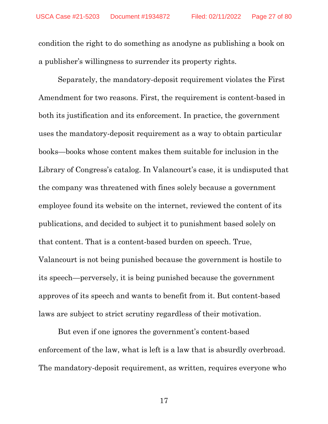condition the right to do something as anodyne as publishing a book on a publisher's willingness to surrender its property rights.

Separately, the mandatory-deposit requirement violates the First Amendment for two reasons. First, the requirement is content-based in both its justification and its enforcement. In practice, the government uses the mandatory-deposit requirement as a way to obtain particular books—books whose content makes them suitable for inclusion in the Library of Congress's catalog. In Valancourt's case, it is undisputed that the company was threatened with fines solely because a government employee found its website on the internet, reviewed the content of its publications, and decided to subject it to punishment based solely on that content. That is a content-based burden on speech. True, Valancourt is not being punished because the government is hostile to its speech—perversely, it is being punished because the government approves of its speech and wants to benefit from it. But content-based laws are subject to strict scrutiny regardless of their motivation.

But even if one ignores the government's content-based enforcement of the law, what is left is a law that is absurdly overbroad. The mandatory-deposit requirement, as written, requires everyone who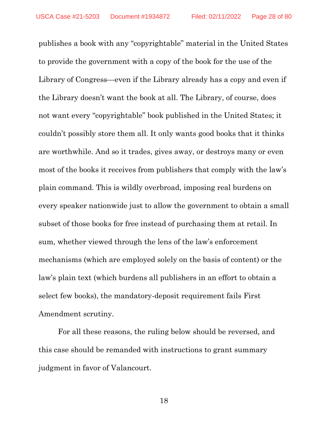publishes a book with any "copyrightable" material in the United States to provide the government with a copy of the book for the use of the Library of Congress—even if the Library already has a copy and even if the Library doesn't want the book at all. The Library, of course, does not want every "copyrightable" book published in the United States; it couldn't possibly store them all. It only wants good books that it thinks are worthwhile. And so it trades, gives away, or destroys many or even most of the books it receives from publishers that comply with the law's plain command. This is wildly overbroad, imposing real burdens on every speaker nationwide just to allow the government to obtain a small subset of those books for free instead of purchasing them at retail. In sum, whether viewed through the lens of the law's enforcement mechanisms (which are employed solely on the basis of content) or the law's plain text (which burdens all publishers in an effort to obtain a select few books), the mandatory-deposit requirement fails First Amendment scrutiny.

For all these reasons, the ruling below should be reversed, and this case should be remanded with instructions to grant summary judgment in favor of Valancourt.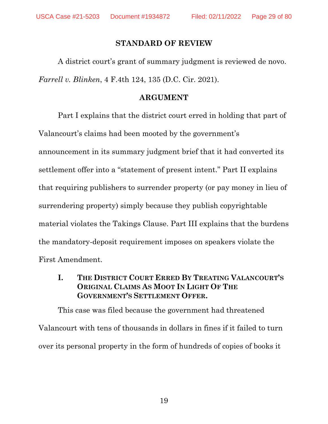### **STANDARD OF REVIEW**

A district court's grant of summary judgment is reviewed de novo. *Farrell v. Blinken*, 4 F.4th 124, 135 (D.C. Cir. 2021).

### **ARGUMENT**

Part I explains that the district court erred in holding that part of Valancourt's claims had been mooted by the government's announcement in its summary judgment brief that it had converted its settlement offer into a "statement of present intent." Part II explains that requiring publishers to surrender property (or pay money in lieu of surrendering property) simply because they publish copyrightable material violates the Takings Clause. Part III explains that the burdens the mandatory-deposit requirement imposes on speakers violate the First Amendment.

**I. THE DISTRICT COURT ERRED BY TREATING VALANCOURT'S ORIGINAL CLAIMS AS MOOT IN LIGHT OF THE GOVERNMENT'S SETTLEMENT OFFER.**

This case was filed because the government had threatened Valancourt with tens of thousands in dollars in fines if it failed to turn over its personal property in the form of hundreds of copies of books it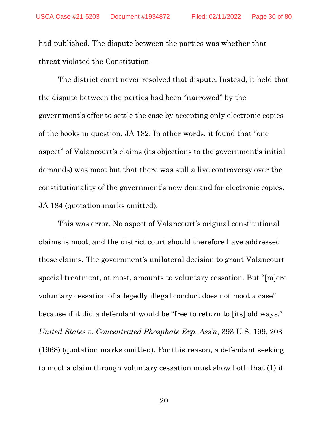had published. The dispute between the parties was whether that threat violated the Constitution.

The district court never resolved that dispute. Instead, it held that the dispute between the parties had been "narrowed" by the government's offer to settle the case by accepting only electronic copies of the books in question. JA 182. In other words, it found that "one aspect" of Valancourt's claims (its objections to the government's initial demands) was moot but that there was still a live controversy over the constitutionality of the government's new demand for electronic copies. JA 184 (quotation marks omitted).

This was error. No aspect of Valancourt's original constitutional claims is moot, and the district court should therefore have addressed those claims. The government's unilateral decision to grant Valancourt special treatment, at most, amounts to voluntary cessation. But "[m]ere voluntary cessation of allegedly illegal conduct does not moot a case" because if it did a defendant would be "free to return to [its] old ways." *United States v. Concentrated Phosphate Exp. Ass'n*, 393 U.S. 199, 203 (1968) (quotation marks omitted). For this reason, a defendant seeking to moot a claim through voluntary cessation must show both that (1) it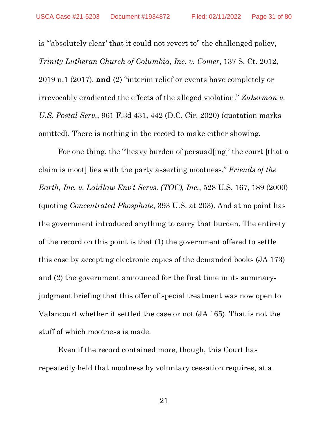is "'absolutely clear' that it could not revert to" the challenged policy, *Trinity Lutheran Church of Columbia, Inc. v. Comer*, 137 S. Ct. 2012, 2019 n.1 (2017), **and** (2) "interim relief or events have completely or irrevocably eradicated the effects of the alleged violation." *Zukerman v. U.S. Postal Serv.*, 961 F.3d 431, 442 (D.C. Cir. 2020) (quotation marks omitted). There is nothing in the record to make either showing.

For one thing, the "heavy burden of persuad [ing]' the court [that a claim is moot] lies with the party asserting mootness." *Friends of the Earth, Inc. v. Laidlaw Env't Servs. (TOC), Inc.*, 528 U.S. 167, 189 (2000) (quoting *Concentrated Phosphate*, 393 U.S. at 203). And at no point has the government introduced anything to carry that burden. The entirety of the record on this point is that (1) the government offered to settle this case by accepting electronic copies of the demanded books (JA 173) and (2) the government announced for the first time in its summaryjudgment briefing that this offer of special treatment was now open to Valancourt whether it settled the case or not (JA 165). That is not the stuff of which mootness is made.

Even if the record contained more, though, this Court has repeatedly held that mootness by voluntary cessation requires, at a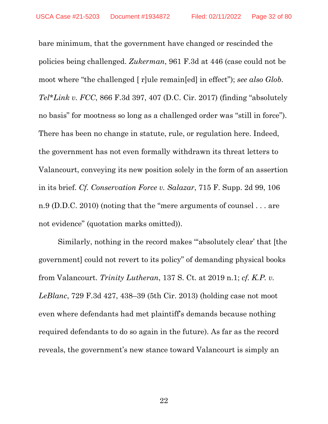bare minimum, that the government have changed or rescinded the policies being challenged. *Zukerman*, 961 F.3d at 446 (case could not be moot where "the challenged [ r]ule remain[ed] in effect"); *see also Glob. Tel\*Link v. FCC*, 866 F.3d 397, 407 (D.C. Cir. 2017) (finding "absolutely no basis" for mootness so long as a challenged order was "still in force"). There has been no change in statute, rule, or regulation here. Indeed, the government has not even formally withdrawn its threat letters to Valancourt, conveying its new position solely in the form of an assertion in its brief. *Cf. Conservation Force v. Salazar*, 715 F. Supp. 2d 99, 106 n.9 (D.D.C. 2010) (noting that the "mere arguments of counsel . . . are not evidence" (quotation marks omitted)).

Similarly, nothing in the record makes "absolutely clear' that [the government] could not revert to its policy" of demanding physical books from Valancourt. *Trinity Lutheran*, 137 S. Ct. at 2019 n.1; *cf. K.P. v. LeBlanc*, 729 F.3d 427, 438–39 (5th Cir. 2013) (holding case not moot even where defendants had met plaintiff's demands because nothing required defendants to do so again in the future). As far as the record reveals, the government's new stance toward Valancourt is simply an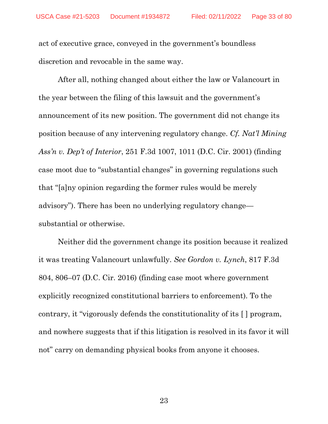act of executive grace, conveyed in the government's boundless discretion and revocable in the same way.

After all, nothing changed about either the law or Valancourt in the year between the filing of this lawsuit and the government's announcement of its new position. The government did not change its position because of any intervening regulatory change. *Cf. Nat'l Mining Ass'n v. Dep't of Interior*, 251 F.3d 1007, 1011 (D.C. Cir. 2001) (finding case moot due to "substantial changes" in governing regulations such that "[a]ny opinion regarding the former rules would be merely advisory"). There has been no underlying regulatory change substantial or otherwise.

Neither did the government change its position because it realized it was treating Valancourt unlawfully. *See Gordon v. Lynch*, 817 F.3d 804, 806–07 (D.C. Cir. 2016) (finding case moot where government explicitly recognized constitutional barriers to enforcement). To the contrary, it "vigorously defends the constitutionality of its [ ] program, and nowhere suggests that if this litigation is resolved in its favor it will not" carry on demanding physical books from anyone it chooses.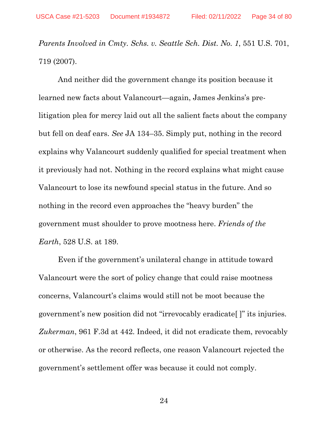*Parents Involved in Cmty. Schs. v. Seattle Sch. Dist. No. 1*, 551 U.S. 701, 719 (2007).

And neither did the government change its position because it learned new facts about Valancourt—again, James Jenkins's prelitigation plea for mercy laid out all the salient facts about the company but fell on deaf ears. *See* JA 134–35. Simply put, nothing in the record explains why Valancourt suddenly qualified for special treatment when it previously had not. Nothing in the record explains what might cause Valancourt to lose its newfound special status in the future. And so nothing in the record even approaches the "heavy burden" the government must shoulder to prove mootness here. *Friends of the Earth*, 528 U.S. at 189.

Even if the government's unilateral change in attitude toward Valancourt were the sort of policy change that could raise mootness concerns, Valancourt's claims would still not be moot because the government's new position did not "irrevocably eradicate[ ]" its injuries. *Zukerman*, 961 F.3d at 442. Indeed, it did not eradicate them, revocably or otherwise. As the record reflects, one reason Valancourt rejected the government's settlement offer was because it could not comply.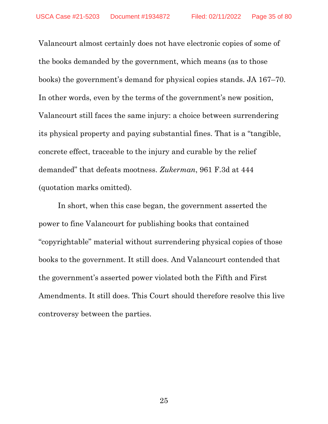Valancourt almost certainly does not have electronic copies of some of the books demanded by the government, which means (as to those books) the government's demand for physical copies stands. JA 167–70. In other words, even by the terms of the government's new position, Valancourt still faces the same injury: a choice between surrendering its physical property and paying substantial fines. That is a "tangible, concrete effect, traceable to the injury and curable by the relief demanded" that defeats mootness. *Zukerman*, 961 F.3d at 444 (quotation marks omitted).

In short, when this case began, the government asserted the power to fine Valancourt for publishing books that contained "copyrightable" material without surrendering physical copies of those books to the government. It still does. And Valancourt contended that the government's asserted power violated both the Fifth and First Amendments. It still does. This Court should therefore resolve this live controversy between the parties.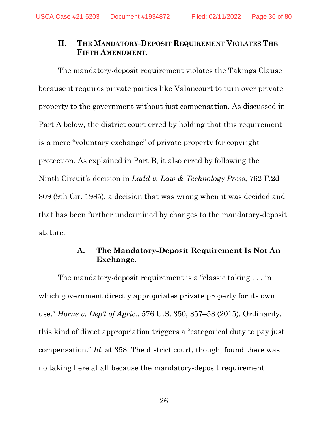### **II. THE MANDATORY-DEPOSIT REQUIREMENT VIOLATES THE FIFTH AMENDMENT.**

The mandatory-deposit requirement violates the Takings Clause because it requires private parties like Valancourt to turn over private property to the government without just compensation. As discussed in Part A below, the district court erred by holding that this requirement is a mere "voluntary exchange" of private property for copyright protection. As explained in Part B, it also erred by following the Ninth Circuit's decision in *Ladd v. Law & Technology Press*, 762 F.2d 809 (9th Cir. 1985), a decision that was wrong when it was decided and that has been further undermined by changes to the mandatory-deposit statute.

### **A. The Mandatory-Deposit Requirement Is Not An Exchange.**

The mandatory-deposit requirement is a "classic taking . . . in which government directly appropriates private property for its own use." *Horne v. Dep't of Agric.*, 576 U.S. 350, 357–58 (2015). Ordinarily, this kind of direct appropriation triggers a "categorical duty to pay just compensation." *Id.* at 358. The district court, though, found there was no taking here at all because the mandatory-deposit requirement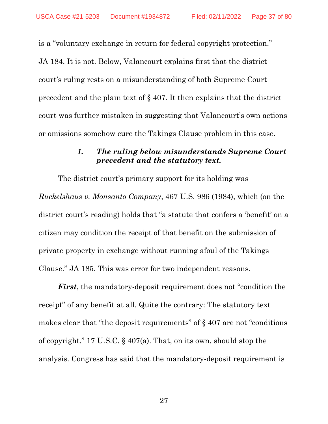is a "voluntary exchange in return for federal copyright protection." JA 184. It is not. Below, Valancourt explains first that the district court's ruling rests on a misunderstanding of both Supreme Court precedent and the plain text of § 407. It then explains that the district court was further mistaken in suggesting that Valancourt's own actions or omissions somehow cure the Takings Clause problem in this case.

## *1. The ruling below misunderstands Supreme Court precedent and the statutory text.*

The district court's primary support for its holding was *Ruckelshaus v. Monsanto Company*, 467 U.S. 986 (1984), which (on the district court's reading) holds that "a statute that confers a 'benefit' on a citizen may condition the receipt of that benefit on the submission of private property in exchange without running afoul of the Takings Clause." JA 185. This was error for two independent reasons.

*First*, the mandatory-deposit requirement does not "condition the receipt" of any benefit at all. Quite the contrary: The statutory text makes clear that "the deposit requirements" of § 407 are not "conditions of copyright." 17 U.S.C. § 407(a). That, on its own, should stop the analysis. Congress has said that the mandatory-deposit requirement is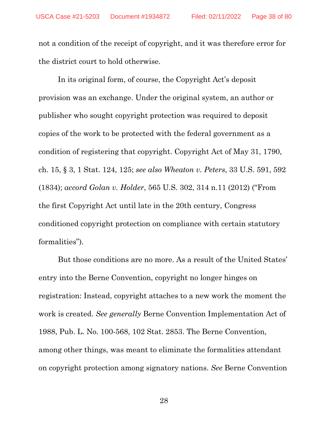not a condition of the receipt of copyright, and it was therefore error for the district court to hold otherwise.

In its original form, of course, the Copyright Act's deposit provision was an exchange. Under the original system, an author or publisher who sought copyright protection was required to deposit copies of the work to be protected with the federal government as a condition of registering that copyright. Copyright Act of May 31, 1790, ch. 15, § 3, 1 Stat. 124, 125; *see also Wheaton v. Peters*, 33 U.S. 591, 592 (1834); *accord Golan v. Holder*, 565 U.S. 302, 314 n.11 (2012) ("From the first Copyright Act until late in the 20th century, Congress conditioned copyright protection on compliance with certain statutory formalities").

But those conditions are no more. As a result of the United States' entry into the Berne Convention, copyright no longer hinges on registration: Instead, copyright attaches to a new work the moment the work is created. *See generally* Berne Convention Implementation Act of 1988, Pub. L. No. 100-568, 102 Stat. 2853. The Berne Convention, among other things, was meant to eliminate the formalities attendant on copyright protection among signatory nations. *See* Berne Convention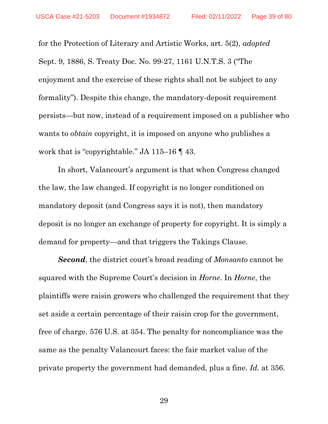for the Protection of Literary and Artistic Works, art. 5(2), *adopted*  Sept. 9, 1886, S. Treaty Doc. No. 99-27, 1161 U.N.T.S. 3 ("The enjoyment and the exercise of these rights shall not be subject to any formality"). Despite this change, the mandatory-deposit requirement persists—but now, instead of a requirement imposed on a publisher who wants to *obtain* copyright, it is imposed on anyone who publishes a work that is "copyrightable." JA 115–16 ¶ 43.

In short, Valancourt's argument is that when Congress changed the law, the law changed. If copyright is no longer conditioned on mandatory deposit (and Congress says it is not), then mandatory deposit is no longer an exchange of property for copyright. It is simply a demand for property—and that triggers the Takings Clause.

*Second*, the district court's broad reading of *Monsanto* cannot be squared with the Supreme Court's decision in *Horne*. In *Horne*, the plaintiffs were raisin growers who challenged the requirement that they set aside a certain percentage of their raisin crop for the government, free of charge. 576 U.S. at 354. The penalty for noncompliance was the same as the penalty Valancourt faces: the fair market value of the private property the government had demanded, plus a fine. *Id.* at 356.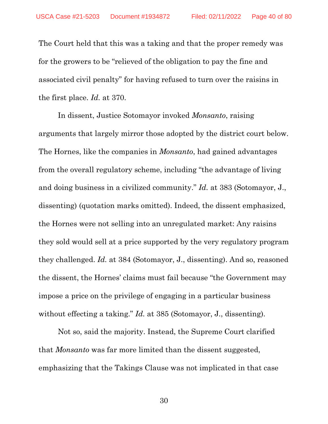The Court held that this was a taking and that the proper remedy was for the growers to be "relieved of the obligation to pay the fine and associated civil penalty" for having refused to turn over the raisins in the first place. *Id.* at 370.

In dissent, Justice Sotomayor invoked *Monsanto*, raising arguments that largely mirror those adopted by the district court below. The Hornes, like the companies in *Monsanto*, had gained advantages from the overall regulatory scheme, including "the advantage of living and doing business in a civilized community." *Id.* at 383 (Sotomayor, J., dissenting) (quotation marks omitted). Indeed, the dissent emphasized, the Hornes were not selling into an unregulated market: Any raisins they sold would sell at a price supported by the very regulatory program they challenged. *Id.* at 384 (Sotomayor, J., dissenting). And so, reasoned the dissent, the Hornes' claims must fail because "the Government may impose a price on the privilege of engaging in a particular business without effecting a taking." *Id.* at 385 (Sotomayor, J., dissenting).

Not so, said the majority. Instead, the Supreme Court clarified that *Monsanto* was far more limited than the dissent suggested, emphasizing that the Takings Clause was not implicated in that case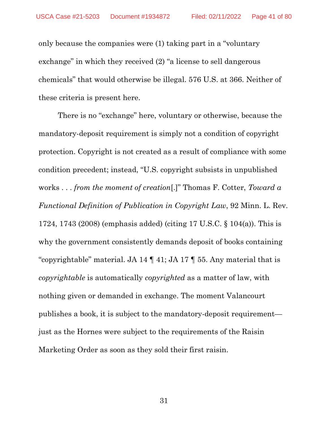only because the companies were (1) taking part in a "voluntary exchange" in which they received (2) "a license to sell dangerous chemicals" that would otherwise be illegal. 576 U.S. at 366. Neither of these criteria is present here.

There is no "exchange" here, voluntary or otherwise, because the mandatory-deposit requirement is simply not a condition of copyright protection. Copyright is not created as a result of compliance with some condition precedent; instead, "U.S. copyright subsists in unpublished works . . . *from the moment of creation*[.]" Thomas F. Cotter, *Toward a Functional Definition of Publication in Copyright Law*, 92 Minn. L. Rev. 1724, 1743 (2008) (emphasis added) (citing 17 U.S.C. § 104(a)). This is why the government consistently demands deposit of books containing "copyrightable" material. JA 14 ¶ 41; JA 17 ¶ 55. Any material that is *copyrightable* is automatically *copyrighted* as a matter of law, with nothing given or demanded in exchange. The moment Valancourt publishes a book, it is subject to the mandatory-deposit requirement just as the Hornes were subject to the requirements of the Raisin Marketing Order as soon as they sold their first raisin.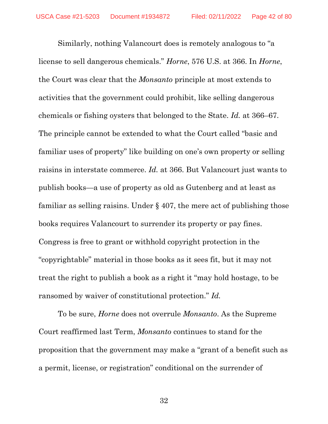Similarly, nothing Valancourt does is remotely analogous to "a license to sell dangerous chemicals." *Horne*, 576 U.S. at 366. In *Horne*, the Court was clear that the *Monsanto* principle at most extends to activities that the government could prohibit, like selling dangerous chemicals or fishing oysters that belonged to the State. *Id.* at 366–67. The principle cannot be extended to what the Court called "basic and familiar uses of property" like building on one's own property or selling raisins in interstate commerce. *Id.* at 366. But Valancourt just wants to publish books—a use of property as old as Gutenberg and at least as familiar as selling raisins. Under § 407, the mere act of publishing those books requires Valancourt to surrender its property or pay fines. Congress is free to grant or withhold copyright protection in the "copyrightable" material in those books as it sees fit, but it may not treat the right to publish a book as a right it "may hold hostage, to be ransomed by waiver of constitutional protection." *Id.*

To be sure, *Horne* does not overrule *Monsanto*. As the Supreme Court reaffirmed last Term, *Monsanto* continues to stand for the proposition that the government may make a "grant of a benefit such as a permit, license, or registration" conditional on the surrender of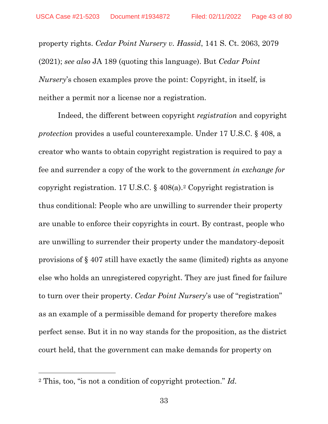property rights. *Cedar Point Nursery v. Hassid*, 141 S. Ct. 2063, 2079 (2021); *see also* JA 189 (quoting this language). But *Cedar Point Nursery*'s chosen examples prove the point: Copyright, in itself, is neither a permit nor a license nor a registration.

Indeed, the different between copyright *registration* and copyright *protection* provides a useful counterexample. Under 17 U.S.C. § 408, a creator who wants to obtain copyright registration is required to pay a fee and surrender a copy of the work to the government *in exchange for*  copyright registration. 17 U.S.C. § 408(a).[2](#page-42-0) Copyright registration is thus conditional: People who are unwilling to surrender their property are unable to enforce their copyrights in court. By contrast, people who are unwilling to surrender their property under the mandatory-deposit provisions of § 407 still have exactly the same (limited) rights as anyone else who holds an unregistered copyright. They are just fined for failure to turn over their property. *Cedar Point Nursery*'s use of "registration" as an example of a permissible demand for property therefore makes perfect sense. But it in no way stands for the proposition, as the district court held, that the government can make demands for property on

<span id="page-42-0"></span><sup>2</sup> This, too, "is not a condition of copyright protection." *Id.*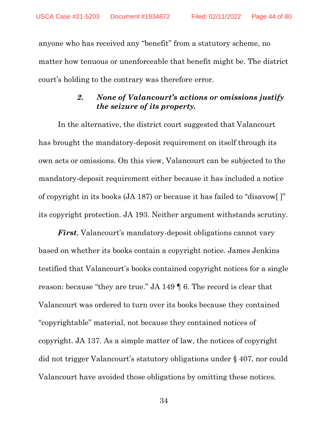anyone who has received any "benefit" from a statutory scheme, no matter how tenuous or unenforceable that benefit might be. The district court's holding to the contrary was therefore error.

## *2. None of Valancourt's actions or omissions justify the seizure of its property.*

In the alternative, the district court suggested that Valancourt has brought the mandatory-deposit requirement on itself through its own acts or omissions. On this view, Valancourt can be subjected to the mandatory-deposit requirement either because it has included a notice of copyright in its books (JA 187) or because it has failed to "disavow[ ]" its copyright protection. JA 193. Neither argument withstands scrutiny.

*First*, Valancourt's mandatory-deposit obligations cannot vary based on whether its books contain a copyright notice. James Jenkins testified that Valancourt's books contained copyright notices for a single reason: because "they are true." JA 149 ¶ 6. The record is clear that Valancourt was ordered to turn over its books because they contained "copyrightable" material, not because they contained notices of copyright. JA 137. As a simple matter of law, the notices of copyright did not trigger Valancourt's statutory obligations under § 407, nor could Valancourt have avoided those obligations by omitting these notices.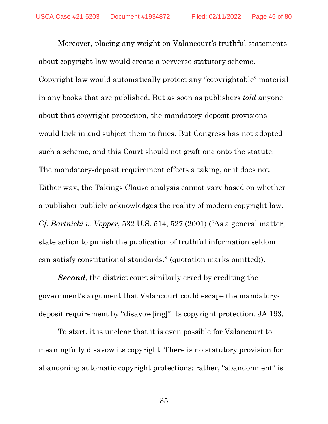Moreover, placing any weight on Valancourt's truthful statements about copyright law would create a perverse statutory scheme. Copyright law would automatically protect any "copyrightable" material in any books that are published. But as soon as publishers *told* anyone about that copyright protection, the mandatory-deposit provisions would kick in and subject them to fines. But Congress has not adopted such a scheme, and this Court should not graft one onto the statute. The mandatory-deposit requirement effects a taking, or it does not. Either way, the Takings Clause analysis cannot vary based on whether a publisher publicly acknowledges the reality of modern copyright law. *Cf. Bartnicki v. Vopper*, 532 U.S. 514, 527 (2001) ("As a general matter, state action to punish the publication of truthful information seldom can satisfy constitutional standards." (quotation marks omitted)).

*Second*, the district court similarly erred by crediting the government's argument that Valancourt could escape the mandatorydeposit requirement by "disavow[ing]" its copyright protection. JA 193.

To start, it is unclear that it is even possible for Valancourt to meaningfully disavow its copyright. There is no statutory provision for abandoning automatic copyright protections; rather, "abandonment" is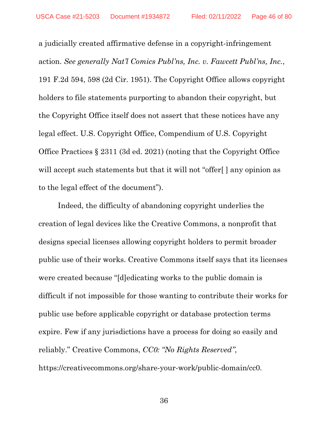a judicially created affirmative defense in a copyright-infringement action. *See generally Nat'l Comics Publ'ns, Inc. v. Fawcett Publ'ns, Inc.*, 191 F.2d 594, 598 (2d Cir. 1951). The Copyright Office allows copyright holders to file statements purporting to abandon their copyright, but the Copyright Office itself does not assert that these notices have any legal effect. U.S. Copyright Office, Compendium of U.S. Copyright Office Practices § 2311 (3d ed. 2021) (noting that the Copyright Office will accept such statements but that it will not "offer[] any opinion as to the legal effect of the document").

Indeed, the difficulty of abandoning copyright underlies the creation of legal devices like the Creative Commons, a nonprofit that designs special licenses allowing copyright holders to permit broader public use of their works. Creative Commons itself says that its licenses were created because "[d]edicating works to the public domain is difficult if not impossible for those wanting to contribute their works for public use before applicable copyright or database protection terms expire. Few if any jurisdictions have a process for doing so easily and reliably." Creative Commons, *CC0: "No Rights Reserved"*, https://creativecommons.org/share-your-work/public-domain/cc0.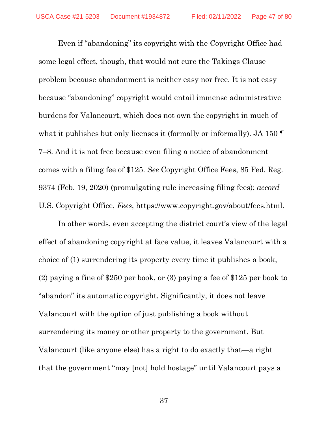Even if "abandoning" its copyright with the Copyright Office had some legal effect, though, that would not cure the Takings Clause problem because abandonment is neither easy nor free. It is not easy because "abandoning" copyright would entail immense administrative burdens for Valancourt, which does not own the copyright in much of what it publishes but only licenses it (formally or informally). JA 150 ¶ 7–8. And it is not free because even filing a notice of abandonment comes with a filing fee of \$125. *See* Copyright Office Fees, 85 Fed. Reg. 9374 (Feb. 19, 2020) (promulgating rule increasing filing fees); *accord*  U.S. Copyright Office, *Fees*, https://www.copyright.gov/about/fees.html.

In other words, even accepting the district court's view of the legal effect of abandoning copyright at face value, it leaves Valancourt with a choice of (1) surrendering its property every time it publishes a book, (2) paying a fine of \$250 per book, or (3) paying a fee of \$125 per book to "abandon" its automatic copyright. Significantly, it does not leave Valancourt with the option of just publishing a book without surrendering its money or other property to the government. But Valancourt (like anyone else) has a right to do exactly that—a right that the government "may [not] hold hostage" until Valancourt pays a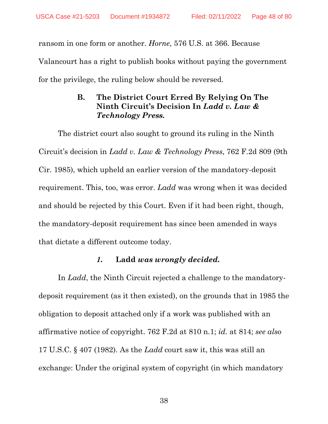ransom in one form or another. *Horne*, 576 U.S. at 366. Because Valancourt has a right to publish books without paying the government for the privilege, the ruling below should be reversed.

## **B. The District Court Erred By Relying On The Ninth Circuit's Decision In** *Ladd v. Law & Technology Press.*

The district court also sought to ground its ruling in the Ninth Circuit's decision in *Ladd v. Law & Technology Press*, 762 F.2d 809 (9th Cir. 1985), which upheld an earlier version of the mandatory-deposit requirement. This, too, was error. *Ladd* was wrong when it was decided and should be rejected by this Court. Even if it had been right, though, the mandatory-deposit requirement has since been amended in ways that dictate a different outcome today.

#### *1.* **Ladd** *was wrongly decided.*

In *Ladd*, the Ninth Circuit rejected a challenge to the mandatorydeposit requirement (as it then existed), on the grounds that in 1985 the obligation to deposit attached only if a work was published with an affirmative notice of copyright. 762 F.2d at 810 n.1; *id.* at 814; *see also*  17 U.S.C. § 407 (1982). As the *Ladd* court saw it, this was still an exchange: Under the original system of copyright (in which mandatory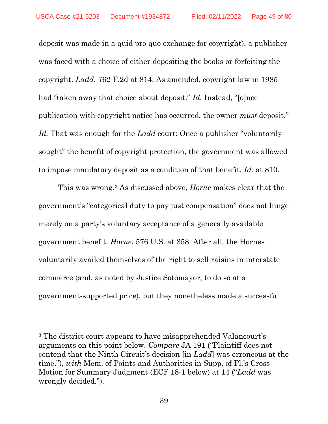deposit was made in a quid pro quo exchange for copyright), a publisher was faced with a choice of either depositing the books or forfeiting the copyright. *Ladd*, 762 F.2d at 814. As amended, copyright law in 1985 had "taken away that choice about deposit." *Id.* Instead, "[o]nce publication with copyright notice has occurred, the owner *must* deposit." Id. That was enough for the *Ladd* court: Once a publisher "voluntarily" sought" the benefit of copyright protection, the government was allowed to impose mandatory deposit as a condition of that benefit. *Id.* at 810.

This was wrong.[3](#page-48-0) As discussed above, *Horne* makes clear that the government's "categorical duty to pay just compensation" does not hinge merely on a party's voluntary acceptance of a generally available government benefit. *Horne*, 576 U.S. at 358. After all, the Hornes voluntarily availed themselves of the right to sell raisins in interstate commerce (and, as noted by Justice Sotomayor, to do so at a government-supported price), but they nonetheless made a successful

<span id="page-48-0"></span><sup>3</sup> The district court appears to have misapprehended Valancourt's arguments on this point below. *Compare* JA 191 ("Plaintiff does not contend that the Ninth Circuit's decision [in *Ladd*] was erroneous at the time."), *with* Mem. of Points and Authorities in Supp. of Pl.'s Cross-Motion for Summary Judgment (ECF 18-1 below) at 14 ("*Ladd* was wrongly decided.").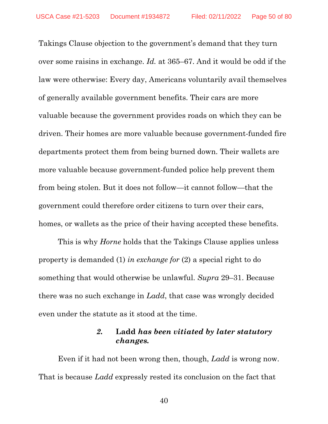Takings Clause objection to the government's demand that they turn over some raisins in exchange. *Id.* at 365–67. And it would be odd if the law were otherwise: Every day, Americans voluntarily avail themselves of generally available government benefits. Their cars are more valuable because the government provides roads on which they can be driven. Their homes are more valuable because government-funded fire departments protect them from being burned down. Their wallets are more valuable because government-funded police help prevent them from being stolen. But it does not follow—it cannot follow—that the government could therefore order citizens to turn over their cars, homes, or wallets as the price of their having accepted these benefits.

This is why *Horne* holds that the Takings Clause applies unless property is demanded (1) *in exchange for* (2) a special right to do something that would otherwise be unlawful. *Supra* 29–31. Because there was no such exchange in *Ladd*, that case was wrongly decided even under the statute as it stood at the time.

### *2.* **Ladd** *has been vitiated by later statutory changes.*

Even if it had not been wrong then, though, *Ladd* is wrong now. That is because *Ladd* expressly rested its conclusion on the fact that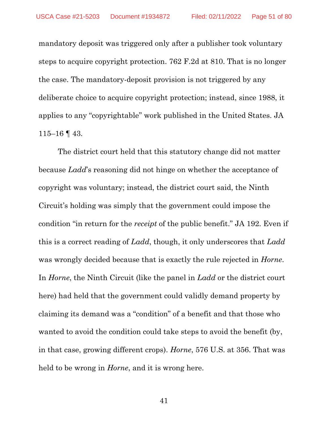mandatory deposit was triggered only after a publisher took voluntary steps to acquire copyright protection. 762 F.2d at 810. That is no longer the case. The mandatory-deposit provision is not triggered by any deliberate choice to acquire copyright protection; instead, since 1988, it applies to any "copyrightable" work published in the United States. JA  $115-16$  | 43.

The district court held that this statutory change did not matter because *Ladd*'s reasoning did not hinge on whether the acceptance of copyright was voluntary; instead, the district court said, the Ninth Circuit's holding was simply that the government could impose the condition "in return for the *receipt* of the public benefit." JA 192. Even if this is a correct reading of *Ladd*, though, it only underscores that *Ladd*  was wrongly decided because that is exactly the rule rejected in *Horne*. In *Horne*, the Ninth Circuit (like the panel in *Ladd* or the district court here) had held that the government could validly demand property by claiming its demand was a "condition" of a benefit and that those who wanted to avoid the condition could take steps to avoid the benefit (by, in that case, growing different crops). *Horne*, 576 U.S. at 356. That was held to be wrong in *Horne*, and it is wrong here.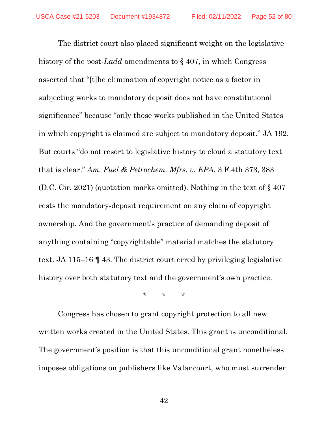The district court also placed significant weight on the legislative history of the post-*Ladd* amendments to § 407, in which Congress asserted that "[t]he elimination of copyright notice as a factor in subjecting works to mandatory deposit does not have constitutional significance" because "only those works published in the United States in which copyright is claimed are subject to mandatory deposit." JA 192. But courts "do not resort to legislative history to cloud a statutory text that is clear." *Am. Fuel & Petrochem. Mfrs. v. EPA*, 3 F.4th 373, 383 (D.C. Cir. 2021) (quotation marks omitted). Nothing in the text of § 407 rests the mandatory-deposit requirement on any claim of copyright ownership. And the government's practice of demanding deposit of anything containing "copyrightable" material matches the statutory text. JA 115–16 ¶ 43. The district court erred by privileging legislative history over both statutory text and the government's own practice.

\* \* \*

Congress has chosen to grant copyright protection to all new written works created in the United States. This grant is unconditional. The government's position is that this unconditional grant nonetheless imposes obligations on publishers like Valancourt, who must surrender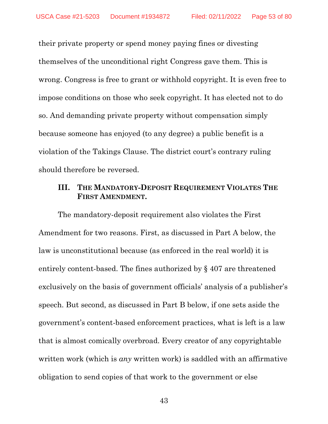their private property or spend money paying fines or divesting themselves of the unconditional right Congress gave them. This is wrong. Congress is free to grant or withhold copyright. It is even free to impose conditions on those who seek copyright. It has elected not to do so. And demanding private property without compensation simply because someone has enjoyed (to any degree) a public benefit is a violation of the Takings Clause. The district court's contrary ruling should therefore be reversed.

### **III. THE MANDATORY-DEPOSIT REQUIREMENT VIOLATES THE FIRST AMENDMENT.**

The mandatory-deposit requirement also violates the First Amendment for two reasons. First, as discussed in Part A below, the law is unconstitutional because (as enforced in the real world) it is entirely content-based. The fines authorized by § 407 are threatened exclusively on the basis of government officials' analysis of a publisher's speech. But second, as discussed in Part B below, if one sets aside the government's content-based enforcement practices, what is left is a law that is almost comically overbroad. Every creator of any copyrightable written work (which is *any* written work) is saddled with an affirmative obligation to send copies of that work to the government or else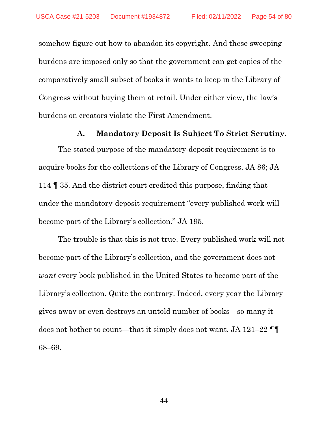somehow figure out how to abandon its copyright. And these sweeping burdens are imposed only so that the government can get copies of the comparatively small subset of books it wants to keep in the Library of Congress without buying them at retail. Under either view, the law's burdens on creators violate the First Amendment.

#### **A. Mandatory Deposit Is Subject To Strict Scrutiny.**

The stated purpose of the mandatory-deposit requirement is to acquire books for the collections of the Library of Congress. JA 86; JA 114 ¶ 35. And the district court credited this purpose, finding that under the mandatory-deposit requirement "every published work will become part of the Library's collection." JA 195.

The trouble is that this is not true. Every published work will not become part of the Library's collection, and the government does not *want* every book published in the United States to become part of the Library's collection. Quite the contrary. Indeed, every year the Library gives away or even destroys an untold number of books—so many it does not bother to count—that it simply does not want. JA 121–22 ¶¶ 68–69.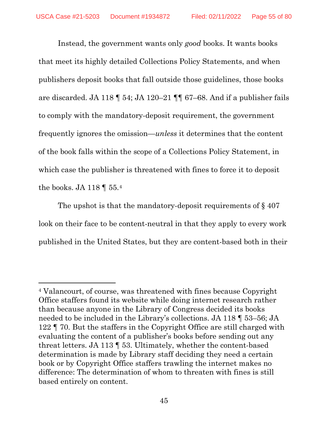Instead, the government wants only *good* books. It wants books that meet its highly detailed Collections Policy Statements, and when publishers deposit books that fall outside those guidelines, those books are discarded. JA 118 ¶ 54; JA 120–21 ¶¶ 67–68. And if a publisher fails to comply with the mandatory-deposit requirement, the government frequently ignores the omission—*unless* it determines that the content of the book falls within the scope of a Collections Policy Statement, in which case the publisher is threatened with fines to force it to deposit the books. JA 118  $\llbracket$  55.[4](#page-54-0)

The upshot is that the mandatory-deposit requirements of §407 look on their face to be content-neutral in that they apply to every work published in the United States, but they are content-based both in their

<span id="page-54-0"></span><sup>4</sup> Valancourt, of course, was threatened with fines because Copyright Office staffers found its website while doing internet research rather than because anyone in the Library of Congress decided its books needed to be included in the Library's collections. JA 118 ¶ 53–56; JA 122 ¶ 70. But the staffers in the Copyright Office are still charged with evaluating the content of a publisher's books before sending out any threat letters. JA 113 ¶ 53. Ultimately, whether the content-based determination is made by Library staff deciding they need a certain book or by Copyright Office staffers trawling the internet makes no difference: The determination of whom to threaten with fines is still based entirely on content.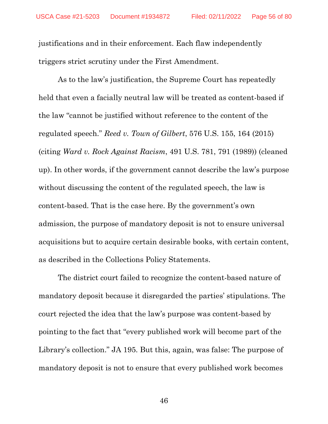justifications and in their enforcement. Each flaw independently triggers strict scrutiny under the First Amendment.

As to the law's justification, the Supreme Court has repeatedly held that even a facially neutral law will be treated as content-based if the law "cannot be justified without reference to the content of the regulated speech." *Reed v. Town of Gilbert*, 576 U.S. 155, 164 (2015) (citing *Ward v. Rock Against Racism*, 491 U.S. 781, 791 (1989)) (cleaned up). In other words, if the government cannot describe the law's purpose without discussing the content of the regulated speech, the law is content-based. That is the case here. By the government's own admission, the purpose of mandatory deposit is not to ensure universal acquisitions but to acquire certain desirable books, with certain content, as described in the Collections Policy Statements.

The district court failed to recognize the content-based nature of mandatory deposit because it disregarded the parties' stipulations. The court rejected the idea that the law's purpose was content-based by pointing to the fact that "every published work will become part of the Library's collection." JA 195. But this, again, was false: The purpose of mandatory deposit is not to ensure that every published work becomes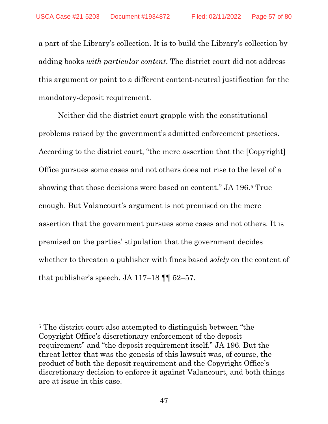a part of the Library's collection. It is to build the Library's collection by adding books *with particular content*. The district court did not address this argument or point to a different content-neutral justification for the mandatory-deposit requirement.

Neither did the district court grapple with the constitutional problems raised by the government's admitted enforcement practices. According to the district court, "the mere assertion that the [Copyright] Office pursues some cases and not others does not rise to the level of a showing that those decisions were based on content." JA 196.[5](#page-56-0) True enough. But Valancourt's argument is not premised on the mere assertion that the government pursues some cases and not others. It is premised on the parties' stipulation that the government decides whether to threaten a publisher with fines based *solely* on the content of that publisher's speech. JA 117–18 ¶¶ 52–57.

<span id="page-56-0"></span><sup>5</sup> The district court also attempted to distinguish between "the Copyright Office's discretionary enforcement of the deposit requirement" and "the deposit requirement itself." JA 196. But the threat letter that was the genesis of this lawsuit was, of course, the product of both the deposit requirement and the Copyright Office's discretionary decision to enforce it against Valancourt, and both things are at issue in this case.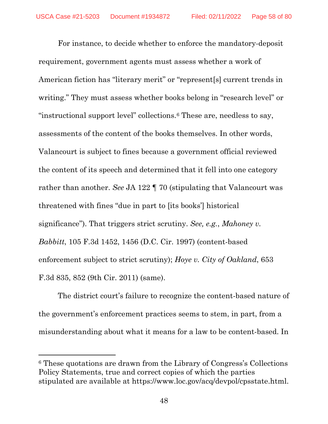For instance, to decide whether to enforce the mandatory-deposit requirement, government agents must assess whether a work of American fiction has "literary merit" or "represent[s] current trends in writing." They must assess whether books belong in "research level" or "instructional support level" collections.[6](#page-57-0) These are, needless to say, assessments of the content of the books themselves. In other words, Valancourt is subject to fines because a government official reviewed the content of its speech and determined that it fell into one category rather than another. *See* JA 122 ¶ 70 (stipulating that Valancourt was threatened with fines "due in part to [its books'] historical significance"). That triggers strict scrutiny. *See, e.g.*, *Mahoney v. Babbitt*, 105 F.3d 1452, 1456 (D.C. Cir. 1997) (content-based enforcement subject to strict scrutiny); *Hoye v. City of Oakland*, 653 F.3d 835, 852 (9th Cir. 2011) (same).

The district court's failure to recognize the content-based nature of the government's enforcement practices seems to stem, in part, from a misunderstanding about what it means for a law to be content-based. In

<span id="page-57-0"></span><sup>6</sup> These quotations are drawn from the Library of Congress's Collections Policy Statements, true and correct copies of which the parties stipulated are available at https://www.loc.gov/acq/devpol/cpsstate.html.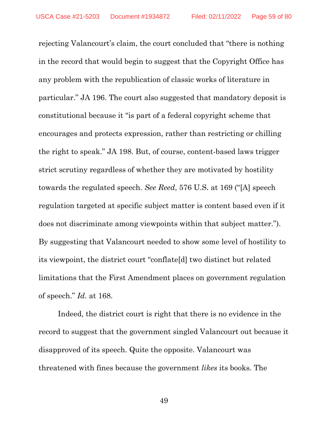rejecting Valancourt's claim, the court concluded that "there is nothing in the record that would begin to suggest that the Copyright Office has any problem with the republication of classic works of literature in particular." JA 196. The court also suggested that mandatory deposit is constitutional because it "is part of a federal copyright scheme that encourages and protects expression, rather than restricting or chilling the right to speak." JA 198. But, of course, content-based laws trigger strict scrutiny regardless of whether they are motivated by hostility towards the regulated speech. *See Reed*, 576 U.S. at 169 ("[A] speech regulation targeted at specific subject matter is content based even if it does not discriminate among viewpoints within that subject matter."). By suggesting that Valancourt needed to show some level of hostility to its viewpoint, the district court "conflate[d] two distinct but related limitations that the First Amendment places on government regulation of speech." *Id.* at 168.

Indeed, the district court is right that there is no evidence in the record to suggest that the government singled Valancourt out because it disapproved of its speech. Quite the opposite. Valancourt was threatened with fines because the government *likes* its books. The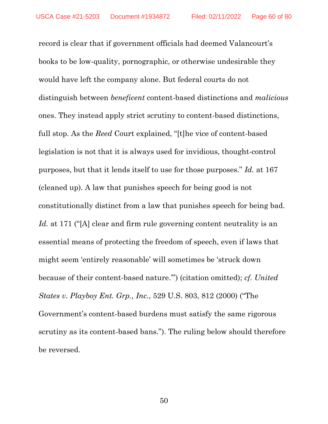record is clear that if government officials had deemed Valancourt's books to be low-quality, pornographic, or otherwise undesirable they would have left the company alone. But federal courts do not distinguish between *beneficent* content-based distinctions and *malicious*  ones. They instead apply strict scrutiny to content-based distinctions, full stop. As the *Reed* Court explained, "[t]he vice of content-based legislation is not that it is always used for invidious, thought-control purposes, but that it lends itself to use for those purposes." *Id.* at 167 (cleaned up). A law that punishes speech for being good is not constitutionally distinct from a law that punishes speech for being bad. Id. at 171 ("[A] clear and firm rule governing content neutrality is an essential means of protecting the freedom of speech, even if laws that might seem 'entirely reasonable' will sometimes be 'struck down because of their content-based nature.'") (citation omitted); *cf. United States v. Playboy Ent. Grp., Inc.*, 529 U.S. 803, 812 (2000) ("The Government's content-based burdens must satisfy the same rigorous scrutiny as its content-based bans."). The ruling below should therefore be reversed.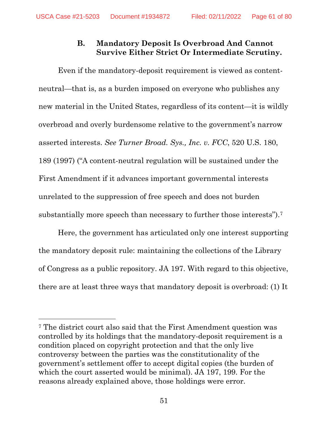# **B. Mandatory Deposit Is Overbroad And Cannot Survive Either Strict Or Intermediate Scrutiny.**

Even if the mandatory-deposit requirement is viewed as contentneutral—that is, as a burden imposed on everyone who publishes any new material in the United States, regardless of its content—it is wildly overbroad and overly burdensome relative to the government's narrow asserted interests. *See Turner Broad. Sys., Inc. v. FCC*, 520 U.S. 180, 189 (1997) ("A content-neutral regulation will be sustained under the First Amendment if it advances important governmental interests unrelated to the suppression of free speech and does not burden substantially more speech than necessary to further those interests").[7](#page-60-0)

Here, the government has articulated only one interest supporting the mandatory deposit rule: maintaining the collections of the Library of Congress as a public repository. JA 197. With regard to this objective, there are at least three ways that mandatory deposit is overbroad: (1) It

<span id="page-60-0"></span><sup>7</sup> The district court also said that the First Amendment question was controlled by its holdings that the mandatory-deposit requirement is a condition placed on copyright protection and that the only live controversy between the parties was the constitutionality of the government's settlement offer to accept digital copies (the burden of which the court asserted would be minimal). JA 197, 199. For the reasons already explained above, those holdings were error.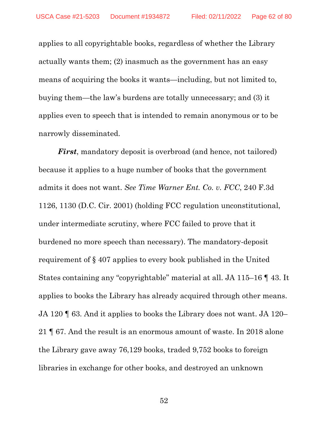applies to all copyrightable books, regardless of whether the Library actually wants them; (2) inasmuch as the government has an easy means of acquiring the books it wants—including, but not limited to, buying them—the law's burdens are totally unnecessary; and (3) it applies even to speech that is intended to remain anonymous or to be narrowly disseminated.

*First*, mandatory deposit is overbroad (and hence, not tailored) because it applies to a huge number of books that the government admits it does not want. *See Time Warner Ent. Co. v. FCC*, 240 F.3d 1126, 1130 (D.C. Cir. 2001) (holding FCC regulation unconstitutional, under intermediate scrutiny, where FCC failed to prove that it burdened no more speech than necessary). The mandatory-deposit requirement of § 407 applies to every book published in the United States containing any "copyrightable" material at all. JA 115–16 ¶ 43. It applies to books the Library has already acquired through other means. JA 120 ¶ 63. And it applies to books the Library does not want. JA 120– 21 ¶ 67. And the result is an enormous amount of waste. In 2018 alone the Library gave away 76,129 books, traded 9,752 books to foreign libraries in exchange for other books, and destroyed an unknown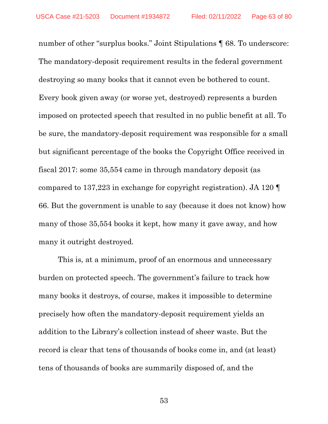number of other "surplus books." Joint Stipulations  $\P$  68. To underscore: The mandatory-deposit requirement results in the federal government destroying so many books that it cannot even be bothered to count. Every book given away (or worse yet, destroyed) represents a burden imposed on protected speech that resulted in no public benefit at all. To be sure, the mandatory-deposit requirement was responsible for a small but significant percentage of the books the Copyright Office received in fiscal 2017: some 35,554 came in through mandatory deposit (as compared to 137,223 in exchange for copyright registration). JA 120 ¶ 66. But the government is unable to say (because it does not know) how many of those 35,554 books it kept, how many it gave away, and how many it outright destroyed.

This is, at a minimum, proof of an enormous and unnecessary burden on protected speech. The government's failure to track how many books it destroys, of course, makes it impossible to determine precisely how often the mandatory-deposit requirement yields an addition to the Library's collection instead of sheer waste. But the record is clear that tens of thousands of books come in, and (at least) tens of thousands of books are summarily disposed of, and the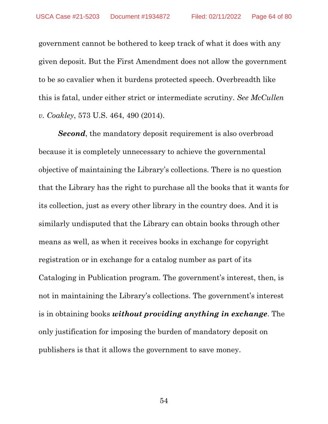government cannot be bothered to keep track of what it does with any given deposit. But the First Amendment does not allow the government to be so cavalier when it burdens protected speech. Overbreadth like this is fatal, under either strict or intermediate scrutiny. *See McCullen v. Coakley*, 573 U.S. 464, 490 (2014).

**Second**, the mandatory deposit requirement is also overbroad because it is completely unnecessary to achieve the governmental objective of maintaining the Library's collections. There is no question that the Library has the right to purchase all the books that it wants for its collection, just as every other library in the country does. And it is similarly undisputed that the Library can obtain books through other means as well, as when it receives books in exchange for copyright registration or in exchange for a catalog number as part of its Cataloging in Publication program. The government's interest, then, is not in maintaining the Library's collections. The government's interest is in obtaining books *without providing anything in exchange*. The only justification for imposing the burden of mandatory deposit on publishers is that it allows the government to save money.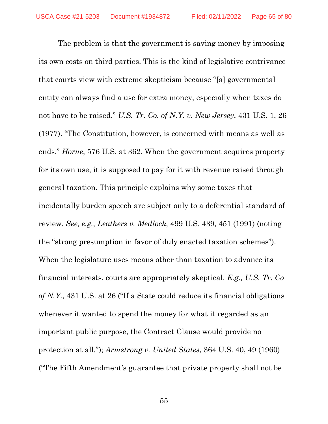The problem is that the government is saving money by imposing its own costs on third parties. This is the kind of legislative contrivance that courts view with extreme skepticism because "[a] governmental entity can always find a use for extra money, especially when taxes do not have to be raised." *U.S. Tr. Co. of N.Y. v. New Jersey*, 431 U.S. 1, 26 (1977). "The Constitution, however, is concerned with means as well as ends." *Horne*, 576 U.S. at 362. When the government acquires property for its own use, it is supposed to pay for it with revenue raised through general taxation. This principle explains why some taxes that incidentally burden speech are subject only to a deferential standard of review. *See, e.g.*, *Leathers v. Medlock*, 499 U.S. 439, 451 (1991) (noting the "strong presumption in favor of duly enacted taxation schemes"). When the legislature uses means other than taxation to advance its financial interests, courts are appropriately skeptical. *E.g., U.S. Tr. Co of N.Y*., 431 U.S. at 26 ("If a State could reduce its financial obligations whenever it wanted to spend the money for what it regarded as an important public purpose, the Contract Clause would provide no protection at all."); *Armstrong v. United States*, 364 U.S. 40, 49 (1960) ("The Fifth Amendment's guarantee that private property shall not be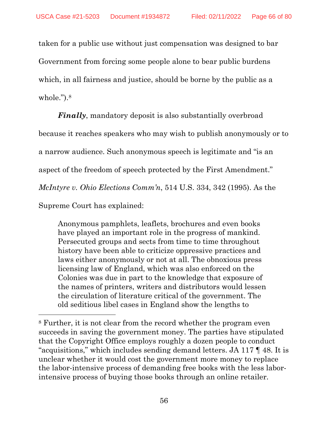taken for a public use without just compensation was designed to bar Government from forcing some people alone to bear public burdens which, in all fairness and justice, should be borne by the public as a whole.").[8](#page-65-0)

*Finally*, mandatory deposit is also substantially overbroad

because it reaches speakers who may wish to publish anonymously or to

a narrow audience. Such anonymous speech is legitimate and "is an

aspect of the freedom of speech protected by the First Amendment."

*McIntyre v. Ohio Elections Comm'n*, 514 U.S. 334, 342 (1995). As the

Supreme Court has explained:

Anonymous pamphlets, leaflets, brochures and even books have played an important role in the progress of mankind. Persecuted groups and sects from time to time throughout history have been able to criticize oppressive practices and laws either anonymously or not at all. The obnoxious press licensing law of England, which was also enforced on the Colonies was due in part to the knowledge that exposure of the names of printers, writers and distributors would lessen the circulation of literature critical of the government. The old seditious libel cases in England show the lengths to

<span id="page-65-0"></span><sup>8</sup> Further, it is not clear from the record whether the program even succeeds in saving the government money. The parties have stipulated that the Copyright Office employs roughly a dozen people to conduct "acquisitions," which includes sending demand letters. JA 117 ¶ 48. It is unclear whether it would cost the government more money to replace the labor-intensive process of demanding free books with the less laborintensive process of buying those books through an online retailer.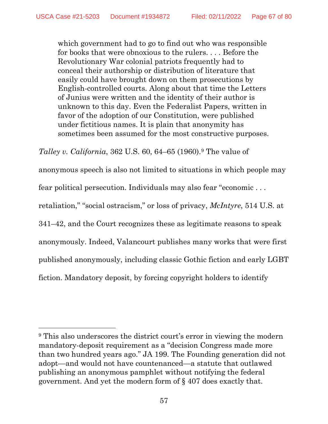which government had to go to find out who was responsible for books that were obnoxious to the rulers. . . . Before the Revolutionary War colonial patriots frequently had to conceal their authorship or distribution of literature that easily could have brought down on them prosecutions by English-controlled courts. Along about that time the Letters of Junius were written and the identity of their author is unknown to this day. Even the Federalist Papers, written in favor of the adoption of our Constitution, were published under fictitious names. It is plain that anonymity has sometimes been assumed for the most constructive purposes.

*Talley v. California*, 362 U.S. 60, 64–65 (1[9](#page-66-0)60).<sup>9</sup> The value of

anonymous speech is also not limited to situations in which people may

fear political persecution. Individuals may also fear "economic . . .

retaliation," "social ostracism," or loss of privacy, *McIntyre*, 514 U.S. at

341–42, and the Court recognizes these as legitimate reasons to speak

anonymously. Indeed, Valancourt publishes many works that were first

published anonymously, including classic Gothic fiction and early LGBT

fiction. Mandatory deposit, by forcing copyright holders to identify

<span id="page-66-0"></span><sup>9</sup> This also underscores the district court's error in viewing the modern mandatory-deposit requirement as a "decision Congress made more than two hundred years ago." JA 199. The Founding generation did not adopt—and would not have countenanced—a statute that outlawed publishing an anonymous pamphlet without notifying the federal government. And yet the modern form of § 407 does exactly that.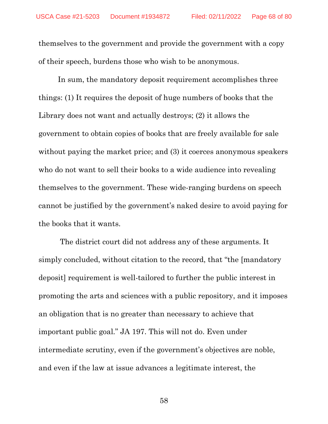themselves to the government and provide the government with a copy of their speech, burdens those who wish to be anonymous.

In sum, the mandatory deposit requirement accomplishes three things: (1) It requires the deposit of huge numbers of books that the Library does not want and actually destroys; (2) it allows the government to obtain copies of books that are freely available for sale without paying the market price; and (3) it coerces anonymous speakers who do not want to sell their books to a wide audience into revealing themselves to the government. These wide-ranging burdens on speech cannot be justified by the government's naked desire to avoid paying for the books that it wants.

The district court did not address any of these arguments. It simply concluded, without citation to the record, that "the [mandatory deposit] requirement is well-tailored to further the public interest in promoting the arts and sciences with a public repository, and it imposes an obligation that is no greater than necessary to achieve that important public goal." JA 197. This will not do. Even under intermediate scrutiny, even if the government's objectives are noble, and even if the law at issue advances a legitimate interest, the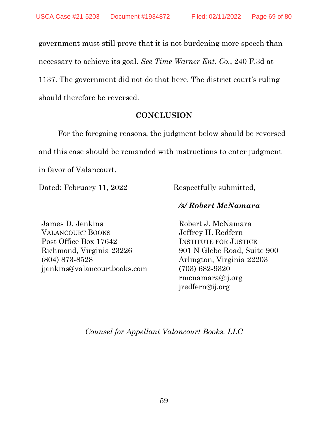government must still prove that it is not burdening more speech than necessary to achieve its goal. *See Time Warner Ent. Co.*, 240 F.3d at 1137. The government did not do that here. The district court's ruling should therefore be reversed.

#### **CONCLUSION**

For the foregoing reasons, the judgment below should be reversed and this case should be remanded with instructions to enter judgment in favor of Valancourt.

Dated: February 11, 2022 Respectfully submitted,

# */s/ Robert McNamara*

James D. Jenkins VALANCOURT BOOKS Post Office Box 17642 Richmond, Virginia 23226 (804) 873-8528 jjenkins@valancourtbooks.com

Robert J. McNamara Jeffrey H. Redfern INSTITUTE FOR JUSTICE 901 N Glebe Road, Suite 900 Arlington, Virginia 22203 (703) 682-9320 rmcnamara@ij.org jredfern@ij.org

*Counsel for Appellant Valancourt Books, LLC*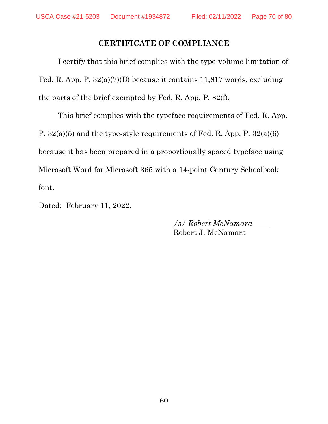## **CERTIFICATE OF COMPLIANCE**

I certify that this brief complies with the type-volume limitation of Fed. R. App. P. 32(a)(7)(B) because it contains 11,817 words, excluding the parts of the brief exempted by Fed. R. App. P. 32(f).

This brief complies with the typeface requirements of Fed. R. App. P. 32(a)(5) and the type-style requirements of Fed. R. App. P. 32(a)(6) because it has been prepared in a proportionally spaced typeface using Microsoft Word for Microsoft 365 with a 14-point Century Schoolbook font.

Dated: February 11, 2022.

*/s/ Robert McNamara* Robert J. McNamara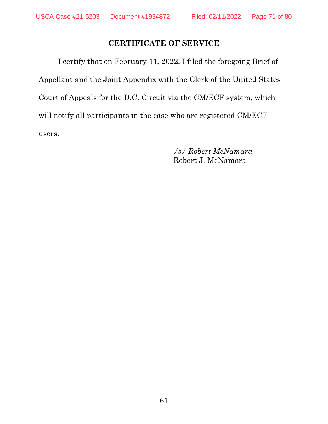## **CERTIFICATE OF SERVICE**

I certify that on February 11, 2022, I filed the foregoing Brief of Appellant and the Joint Appendix with the Clerk of the United States Court of Appeals for the D.C. Circuit via the CM/ECF system, which will notify all participants in the case who are registered CM/ECF users.

> */s/ Robert McNamara* Robert J. McNamara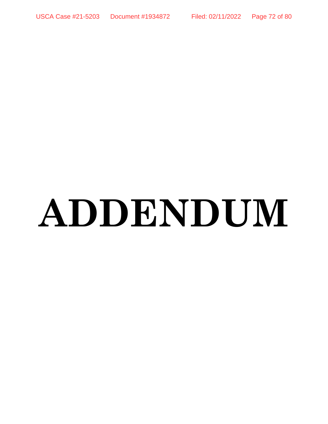USCA Case #21-5203 Document #1934872 Filed: 02/11/2022 Page 72 of 80

# **ADDENDUM**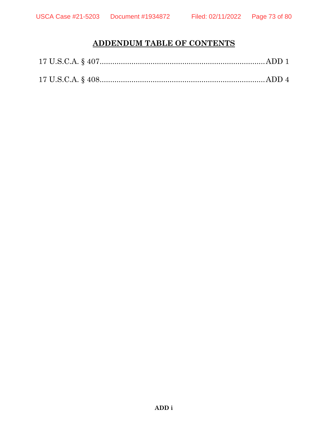# **ADDENDUM TABLE OF CONTENTS**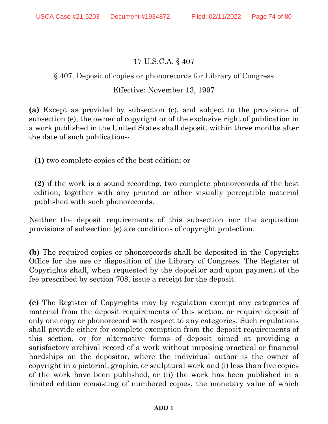### 17 U.S.C.A. § 407

### § 407. Deposit of copies or phonorecords for Library of Congress

### Effective: November 13, 1997

**(a)** Except as provided by subsection (c), and subject to the provisions of subsection (e), the owner of copyright or of the exclusive right of publication in a work published in the United States shall deposit, within three months after the date of such publication--

**(1)** two complete copies of the best edition; or

**(2)** if the work is a sound recording, two complete phonorecords of the best edition, together with any printed or other visually perceptible material published with such phonorecords.

Neither the deposit requirements of this subsection nor the acquisition provisions of subsection (e) are conditions of copyright protection.

**(b)** The required copies or phonorecords shall be deposited in the Copyright Office for the use or disposition of the Library of Congress. The Register of Copyrights shall, when requested by the depositor and upon payment of the fee prescribed by [section 708,](http://www.westlaw.com/Link/Document/FullText?findType=L&pubNum=1000546&cite=17USCAS708&originatingDoc=N644E5340A06711D8B8FABFF7D35FC9C0&refType=LQ&originationContext=document&vr=3.0&rs=cblt1.0&transitionType=DocumentItem&contextData=(sc.UserEnteredCitation)) issue a receipt for the deposit.

**(c)** The Register of Copyrights may by regulation exempt any categories of material from the deposit requirements of this section, or require deposit of only one copy or phonorecord with respect to any categories. Such regulations shall provide either for complete exemption from the deposit requirements of this section, or for alternative forms of deposit aimed at providing a satisfactory archival record of a work without imposing practical or financial hardships on the depositor, where the individual author is the owner of copyright in a pictorial, graphic, or sculptural work and (i) less than five copies of the work have been published, or (ii) the work has been published in a limited edition consisting of numbered copies, the monetary value of which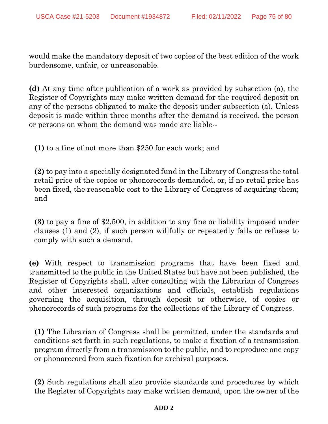would make the mandatory deposit of two copies of the best edition of the work burdensome, unfair, or unreasonable.

**(d)** At any time after publication of a work as provided by subsection (a), the Register of Copyrights may make written demand for the required deposit on any of the persons obligated to make the deposit under subsection (a). Unless deposit is made within three months after the demand is received, the person or persons on whom the demand was made are liable--

**(1)** to a fine of not more than \$250 for each work; and

**(2)** to pay into a specially designated fund in the Library of Congress the total retail price of the copies or phonorecords demanded, or, if no retail price has been fixed, the reasonable cost to the Library of Congress of acquiring them; and

**(3)** to pay a fine of \$2,500, in addition to any fine or liability imposed under clauses (1) and (2), if such person willfully or repeatedly fails or refuses to comply with such a demand.

**(e)** With respect to transmission programs that have been fixed and transmitted to the public in the United States but have not been published, the Register of Copyrights shall, after consulting with the Librarian of Congress and other interested organizations and officials, establish regulations governing the acquisition, through deposit or otherwise, of copies or phonorecords of such programs for the collections of the Library of Congress.

**(1)** The Librarian of Congress shall be permitted, under the standards and conditions set forth in such regulations, to make a fixation of a transmission program directly from a transmission to the public, and to reproduce one copy or phonorecord from such fixation for archival purposes.

**(2)** Such regulations shall also provide standards and procedures by which the Register of Copyrights may make written demand, upon the owner of the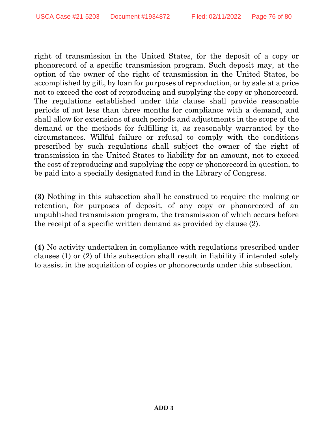right of transmission in the United States, for the deposit of a copy or phonorecord of a specific transmission program. Such deposit may, at the option of the owner of the right of transmission in the United States, be accomplished by gift, by loan for purposes of reproduction, or by sale at a price not to exceed the cost of reproducing and supplying the copy or phonorecord. The regulations established under this clause shall provide reasonable periods of not less than three months for compliance with a demand, and shall allow for extensions of such periods and adjustments in the scope of the demand or the methods for fulfilling it, as reasonably warranted by the circumstances. Willful failure or refusal to comply with the conditions prescribed by such regulations shall subject the owner of the right of transmission in the United States to liability for an amount, not to exceed the cost of reproducing and supplying the copy or phonorecord in question, to be paid into a specially designated fund in the Library of Congress.

**(3)** Nothing in this subsection shall be construed to require the making or retention, for purposes of deposit, of any copy or phonorecord of an unpublished transmission program, the transmission of which occurs before the receipt of a specific written demand as provided by clause (2).

**(4)** No activity undertaken in compliance with regulations prescribed under clauses (1) or (2) of this subsection shall result in liability if intended solely to assist in the acquisition of copies or phonorecords under this subsection.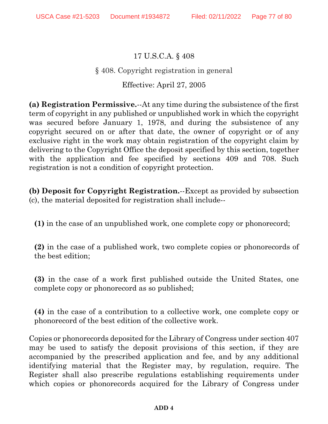## 17 U.S.C.A. § 408

### § 408. Copyright registration in general

#### Effective: April 27, 2005

**(a) Registration Permissive.**--At any time during the subsistence of the first term of copyright in any published or unpublished work in which the copyright was secured before January 1, 1978, and during the subsistence of any copyright secured on or after that date, the owner of copyright or of any exclusive right in the work may obtain registration of the copyright claim by delivering to the Copyright Office the deposit specified by this section, together with the application and fee specified by [sections 409](http://www.westlaw.com/Link/Document/FullText?findType=L&pubNum=1000546&cite=17USCAS409&originatingDoc=NA6D90CD0BCE711D98FA4F357FE3D842F&refType=LQ&originationContext=document&vr=3.0&rs=cblt1.0&transitionType=DocumentItem&contextData=(sc.UserEnteredCitation)) and [708.](http://www.westlaw.com/Link/Document/FullText?findType=L&pubNum=1000546&cite=17USCAS708&originatingDoc=NA6D90CD0BCE711D98FA4F357FE3D842F&refType=LQ&originationContext=document&vr=3.0&rs=cblt1.0&transitionType=DocumentItem&contextData=(sc.UserEnteredCitation)) Such registration is not a condition of copyright protection.

**(b) Deposit for Copyright Registration.**--Except as provided by subsection (c), the material deposited for registration shall include--

**(1)** in the case of an unpublished work, one complete copy or phonorecord;

**(2)** in the case of a published work, two complete copies or phonorecords of the best edition;

**(3)** in the case of a work first published outside the United States, one complete copy or phonorecord as so published;

**(4)** in the case of a contribution to a collective work, one complete copy or phonorecord of the best edition of the collective work.

Copies or phonorecords deposited for the Library of Congress under [section 407](http://www.westlaw.com/Link/Document/FullText?findType=L&pubNum=1000546&cite=17USCAS407&originatingDoc=NA6D90CD0BCE711D98FA4F357FE3D842F&refType=LQ&originationContext=document&vr=3.0&rs=cblt1.0&transitionType=DocumentItem&contextData=(sc.UserEnteredCitation)) may be used to satisfy the deposit provisions of this section, if they are accompanied by the prescribed application and fee, and by any additional identifying material that the Register may, by regulation, require. The Register shall also prescribe regulations establishing requirements under which copies or phonorecords acquired for the Library of Congress under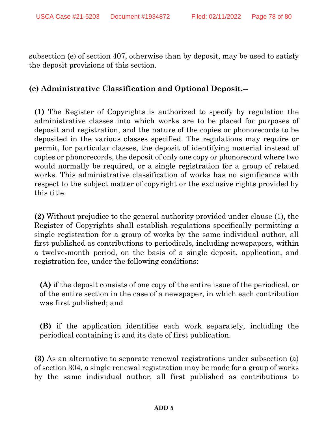[subsection \(e\) of section 407,](http://www.westlaw.com/Link/Document/FullText?findType=L&pubNum=1000546&cite=17USCAS407&originatingDoc=NA6D90CD0BCE711D98FA4F357FE3D842F&refType=RB&originationContext=document&vr=3.0&rs=cblt1.0&transitionType=DocumentItem&contextData=(sc.UserEnteredCitation)#co_pp_7fdd00001ca15) otherwise than by deposit, may be used to satisfy the deposit provisions of this section.

### **(c) Administrative Classification and Optional Deposit.--**

**(1)** The Register of Copyrights is authorized to specify by regulation the administrative classes into which works are to be placed for purposes of deposit and registration, and the nature of the copies or phonorecords to be deposited in the various classes specified. The regulations may require or permit, for particular classes, the deposit of identifying material instead of copies or phonorecords, the deposit of only one copy or phonorecord where two would normally be required, or a single registration for a group of related works. This administrative classification of works has no significance with respect to the subject matter of copyright or the exclusive rights provided by this title.

**(2)** Without prejudice to the general authority provided under clause (1), the Register of Copyrights shall establish regulations specifically permitting a single registration for a group of works by the same individual author, all first published as contributions to periodicals, including newspapers, within a twelve-month period, on the basis of a single deposit, application, and registration fee, under the following conditions:

**(A)** if the deposit consists of one copy of the entire issue of the periodical, or of the entire section in the case of a newspaper, in which each contribution was first published; and

**(B)** if the application identifies each work separately, including the periodical containing it and its date of first publication.

**(3)** As an alternative to separate renewal registrations under [subsection \(a\)](http://www.westlaw.com/Link/Document/FullText?findType=L&pubNum=1000546&cite=17USCAS304&originatingDoc=NA6D90CD0BCE711D98FA4F357FE3D842F&refType=RB&originationContext=document&vr=3.0&rs=cblt1.0&transitionType=DocumentItem&contextData=(sc.UserEnteredCitation)#co_pp_8b3b0000958a4)  [of section 304,](http://www.westlaw.com/Link/Document/FullText?findType=L&pubNum=1000546&cite=17USCAS304&originatingDoc=NA6D90CD0BCE711D98FA4F357FE3D842F&refType=RB&originationContext=document&vr=3.0&rs=cblt1.0&transitionType=DocumentItem&contextData=(sc.UserEnteredCitation)#co_pp_8b3b0000958a4) a single renewal registration may be made for a group of works by the same individual author, all first published as contributions to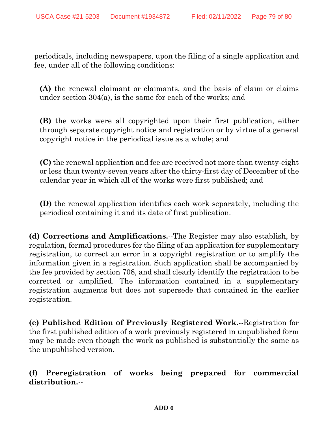periodicals, including newspapers, upon the filing of a single application and fee, under all of the following conditions:

**(A)** the renewal claimant or claimants, and the basis of claim or claims under [section 304\(a\),](http://www.westlaw.com/Link/Document/FullText?findType=L&pubNum=1000546&cite=17USCAS304&originatingDoc=NA6D90CD0BCE711D98FA4F357FE3D842F&refType=RB&originationContext=document&vr=3.0&rs=cblt1.0&transitionType=DocumentItem&contextData=(sc.UserEnteredCitation)#co_pp_8b3b0000958a4) is the same for each of the works; and

**(B)** the works were all copyrighted upon their first publication, either through separate copyright notice and registration or by virtue of a general copyright notice in the periodical issue as a whole; and

**(C)** the renewal application and fee are received not more than twenty-eight or less than twenty-seven years after the thirty-first day of December of the calendar year in which all of the works were first published; and

**(D)** the renewal application identifies each work separately, including the periodical containing it and its date of first publication.

**(d) Corrections and Amplifications.**--The Register may also establish, by regulation, formal procedures for the filing of an application for supplementary registration, to correct an error in a copyright registration or to amplify the information given in a registration. Such application shall be accompanied by the fee provided by [section 708,](http://www.westlaw.com/Link/Document/FullText?findType=L&pubNum=1000546&cite=17USCAS708&originatingDoc=NA6D90CD0BCE711D98FA4F357FE3D842F&refType=LQ&originationContext=document&vr=3.0&rs=cblt1.0&transitionType=DocumentItem&contextData=(sc.UserEnteredCitation)) and shall clearly identify the registration to be corrected or amplified. The information contained in a supplementary registration augments but does not supersede that contained in the earlier registration.

**(e) Published Edition of Previously Registered Work.**--Registration for the first published edition of a work previously registered in unpublished form may be made even though the work as published is substantially the same as the unpublished version.

**(f) Preregistration of works being prepared for commercial distribution.**--